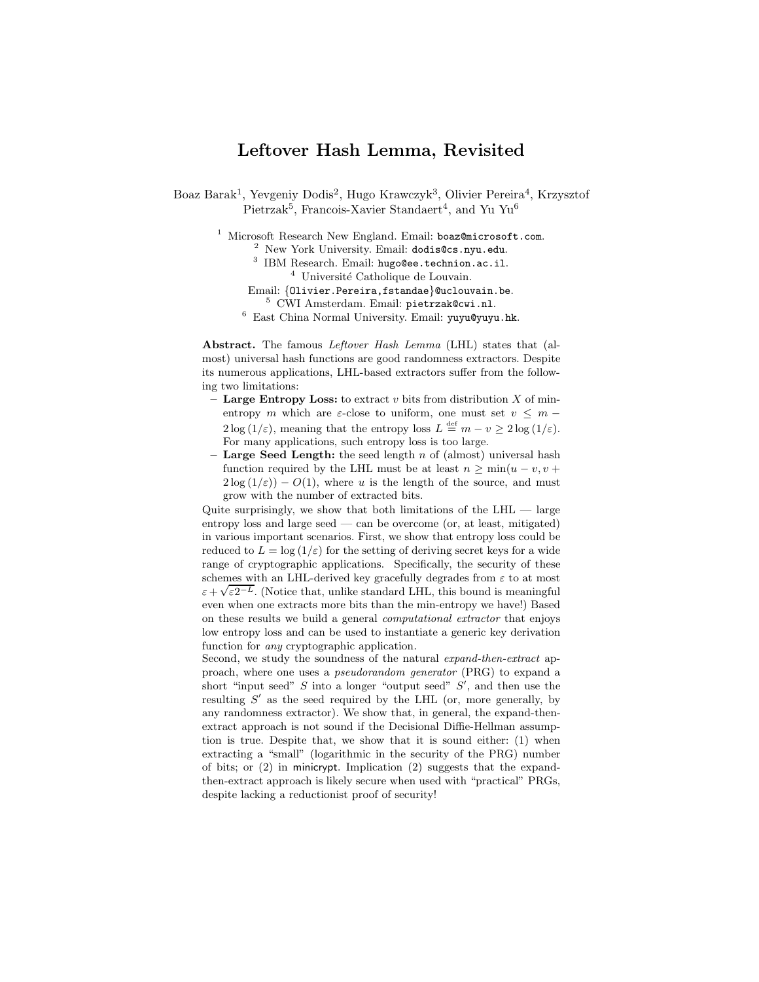# Leftover Hash Lemma, Revisited

Boaz Barak<sup>1</sup>, Yevgeniy Dodis<sup>2</sup>, Hugo Krawczyk<sup>3</sup>, Olivier Pereira<sup>4</sup>, Krzysztof  $Pietrzak<sup>5</sup>$ , Francois-Xavier Standaert<sup>4</sup>, and Yu Yu<sup>6</sup>

 $1$  Microsoft Research New England. Email: boaz@microsoft.com. <sup>2</sup> New York University. Email: dodis@cs.nyu.edu.

- 3 IBM Research. Email: hugo@ee.technion.ac.il.  $4$  Université Catholique de Louvain.
- Email: {Olivier.Pereira,fstandae}@uclouvain.be.
	- <sup>5</sup> CWI Amsterdam. Email: pietrzak@cwi.nl.

<sup>6</sup> East China Normal University. Email: yuyu@yuyu.hk.

Abstract. The famous *Leftover Hash Lemma* (LHL) states that (almost) universal hash functions are good randomness extractors. Despite its numerous applications, LHL-based extractors suffer from the following two limitations:

- Large Entropy Loss: to extract v bits from distribution  $X$  of minentropy m which are  $\varepsilon$ -close to uniform, one must set  $v \leq m 2\log(1/\varepsilon)$ , meaning that the entropy loss  $L \stackrel{\text{def}}{=} m - v \ge 2\log(1/\varepsilon)$ . For many applications, such entropy loss is too large.
- Large Seed Length: the seed length n of (almost) universal hash function required by the LHL must be at least  $n > min(u - v, v +$  $2\log(1/\varepsilon) - O(1)$ , where u is the length of the source, and must grow with the number of extracted bits.

Quite surprisingly, we show that both limitations of the  $LHL$  — large entropy loss and large seed — can be overcome (or, at least, mitigated) in various important scenarios. First, we show that entropy loss could be reduced to  $L = \log(1/\varepsilon)$  for the setting of deriving secret keys for a wide range of cryptographic applications. Specifically, the security of these schemes with an LHL-derived key gracefully degrades from  $\varepsilon$  to at most  $\varepsilon + \sqrt{\varepsilon}2^{-L}$ . (Notice that, unlike standard LHL, this bound is meaningful even when one extracts more bits than the min-entropy we have!) Based on these results we build a general computational extractor that enjoys low entropy loss and can be used to instantiate a generic key derivation function for any cryptographic application.

Second, we study the soundness of the natural expand-then-extract approach, where one uses a pseudorandom generator (PRG) to expand a short "input seed"  $S$  into a longer "output seed"  $S'$ , and then use the resulting  $S'$  as the seed required by the LHL (or, more generally, by any randomness extractor). We show that, in general, the expand-thenextract approach is not sound if the Decisional Diffie-Hellman assumption is true. Despite that, we show that it is sound either: (1) when extracting a "small" (logarithmic in the security of the PRG) number of bits; or (2) in minicrypt. Implication (2) suggests that the expandthen-extract approach is likely secure when used with "practical" PRGs, despite lacking a reductionist proof of security!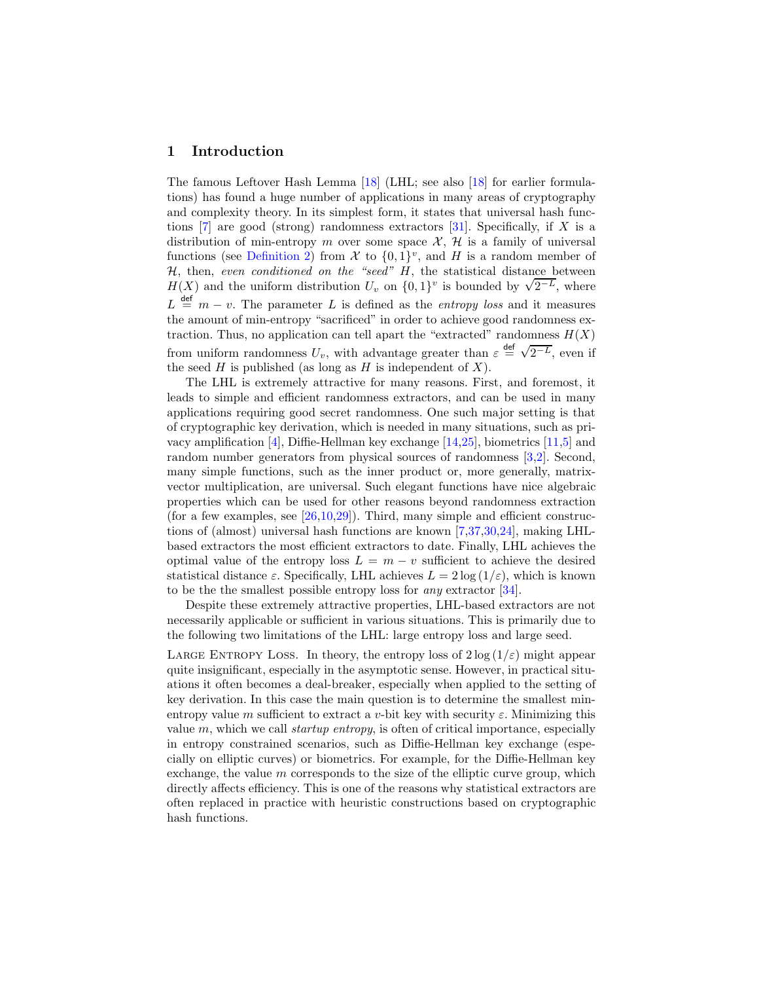### 1 Introduction

The famous Leftover Hash Lemma [\[18\]](#page-19-0) (LHL; see also [\[18\]](#page-19-0) for earlier formulations) has found a huge number of applications in many areas of cryptography and complexity theory. In its simplest form, it states that universal hash functions  $[7]$  are good (strong) randomness extractors  $[31]$ . Specifically, if X is a distribution of min-entropy m over some space  $\mathcal{X}, \mathcal{H}$  is a family of universal functions (see [Definition 2\)](#page-7-0) from  $\mathcal{X}$  to  $\{0,1\}^v$ , and H is a random member of  $H$ , then, even conditioned on the "seed"  $H$ , the statistical distance between  $H(X)$  and the uniform distribution  $U_v$  on  $\{0,1\}^v$  is bounded by  $\sqrt{2^{-L}}$ , where  $L \stackrel{\text{def}}{=} m - v$ . The parameter L is defined as the *entropy loss* and it measures the amount of min-entropy "sacrificed" in order to achieve good randomness extraction. Thus, no application can tell apart the "extracted" randomness  $H(X)$ from uniform randomness  $U_v$ , with advantage greater than  $\varepsilon \stackrel{\text{def}}{=} \sqrt{2^{-L}}$ , even if the seed  $H$  is published (as long as  $H$  is independent of  $X$ ).

The LHL is extremely attractive for many reasons. First, and foremost, it leads to simple and efficient randomness extractors, and can be used in many applications requiring good secret randomness. One such major setting is that of cryptographic key derivation, which is needed in many situations, such as privacy amplification [\[4\]](#page-18-1), Diffie-Hellman key exchange [\[14,](#page-18-2)[25\]](#page-19-2), biometrics [\[11](#page-18-3)[,5\]](#page-18-4) and random number generators from physical sources of randomness [\[3](#page-18-5)[,2\]](#page-18-6). Second, many simple functions, such as the inner product or, more generally, matrixvector multiplication, are universal. Such elegant functions have nice algebraic properties which can be used for other reasons beyond randomness extraction (for a few examples, see  $[26,10,29]$  $[26,10,29]$  $[26,10,29]$ ). Third, many simple and efficient constructions of (almost) universal hash functions are known [\[7,](#page-18-0)[37,](#page-19-5)[30,](#page-19-6)[24\]](#page-19-7), making LHLbased extractors the most efficient extractors to date. Finally, LHL achieves the optimal value of the entropy loss  $L = m - v$  sufficient to achieve the desired statistical distance  $\varepsilon$ . Specifically, LHL achieves  $L = 2 \log(1/\varepsilon)$ , which is known to be the the smallest possible entropy loss for any extractor [\[34\]](#page-19-8).

Despite these extremely attractive properties, LHL-based extractors are not necessarily applicable or sufficient in various situations. This is primarily due to the following two limitations of the LHL: large entropy loss and large seed.

LARGE ENTROPY LOSS. In theory, the entropy loss of  $2 \log(1/\varepsilon)$  might appear quite insignificant, especially in the asymptotic sense. However, in practical situations it often becomes a deal-breaker, especially when applied to the setting of key derivation. In this case the main question is to determine the smallest minentropy value m sufficient to extract a v-bit key with security  $\varepsilon$ . Minimizing this value  $m$ , which we call *startup entropy*, is often of critical importance, especially in entropy constrained scenarios, such as Diffie-Hellman key exchange (especially on elliptic curves) or biometrics. For example, for the Diffie-Hellman key exchange, the value  $m$  corresponds to the size of the elliptic curve group, which directly affects efficiency. This is one of the reasons why statistical extractors are often replaced in practice with heuristic constructions based on cryptographic hash functions.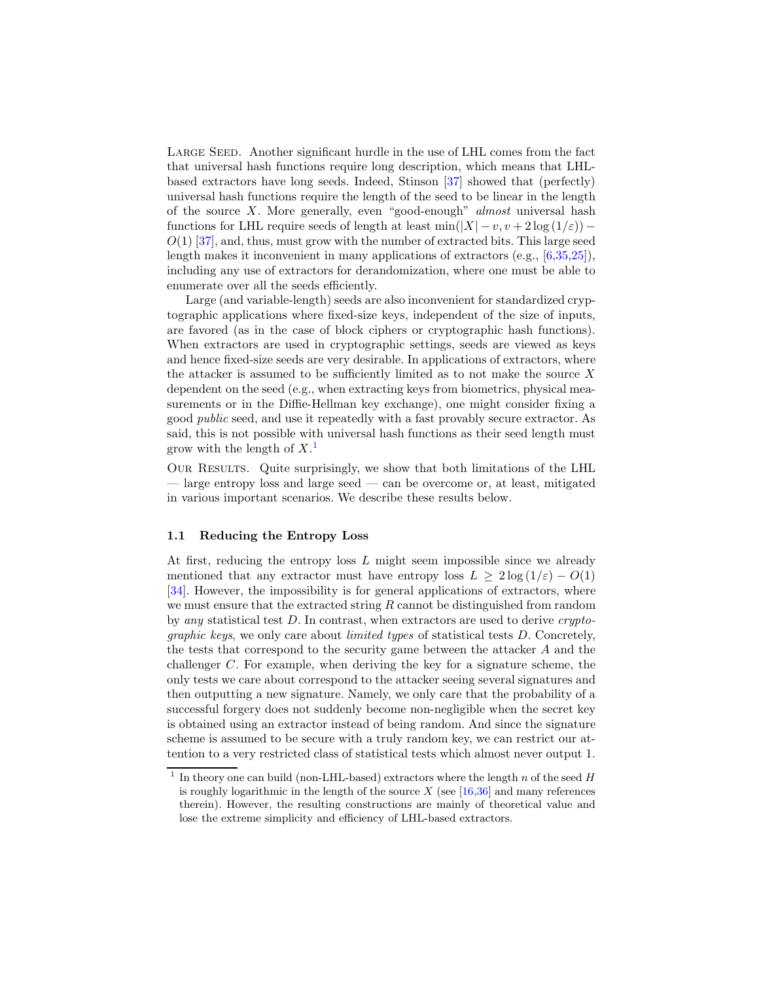LARGE SEED. Another significant hurdle in the use of LHL comes from the fact that universal hash functions require long description, which means that LHLbased extractors have long seeds. Indeed, Stinson [\[37\]](#page-19-5) showed that (perfectly) universal hash functions require the length of the seed to be linear in the length of the source X. More generally, even "good-enough" almost universal hash functions for LHL require seeds of length at least  $\min(|X| - v, v + 2\log(1/\varepsilon))$  –  $O(1)$  [\[37\]](#page-19-5), and, thus, must grow with the number of extracted bits. This large seed length makes it inconvenient in many applications of extractors (e.g., [\[6](#page-18-8)[,35](#page-19-9)[,25\]](#page-19-2)), including any use of extractors for derandomization, where one must be able to enumerate over all the seeds efficiently.

Large (and variable-length) seeds are also inconvenient for standardized cryptographic applications where fixed-size keys, independent of the size of inputs, are favored (as in the case of block ciphers or cryptographic hash functions). When extractors are used in cryptographic settings, seeds are viewed as keys and hence fixed-size seeds are very desirable. In applications of extractors, where the attacker is assumed to be sufficiently limited as to not make the source  $X$ dependent on the seed (e.g., when extracting keys from biometrics, physical measurements or in the Diffie-Hellman key exchange), one might consider fixing a good public seed, and use it repeatedly with a fast provably secure extractor. As said, this is not possible with universal hash functions as their seed length must grow with the length of  $X$ <sup>[1](#page-2-0)</sup>

Our Results. Quite surprisingly, we show that both limitations of the LHL — large entropy loss and large seed — can be overcome or, at least, mitigated in various important scenarios. We describe these results below.

#### 1.1 Reducing the Entropy Loss

At first, reducing the entropy loss L might seem impossible since we already mentioned that any extractor must have entropy loss  $L \geq 2 \log (1/\varepsilon) - O(1)$ [\[34\]](#page-19-8). However, the impossibility is for general applications of extractors, where we must ensure that the extracted string  $R$  cannot be distinguished from random by any statistical test  $D$ . In contrast, when extractors are used to derive *crypto*graphic keys, we only care about limited types of statistical tests D. Concretely, the tests that correspond to the security game between the attacker A and the challenger C. For example, when deriving the key for a signature scheme, the only tests we care about correspond to the attacker seeing several signatures and then outputting a new signature. Namely, we only care that the probability of a successful forgery does not suddenly become non-negligible when the secret key is obtained using an extractor instead of being random. And since the signature scheme is assumed to be secure with a truly random key, we can restrict our attention to a very restricted class of statistical tests which almost never output 1.

<span id="page-2-0"></span><sup>&</sup>lt;sup>1</sup> In theory one can build (non-LHL-based) extractors where the length  $n$  of the seed  $H$ is roughly logarithmic in the length of the source  $X$  (see [\[16](#page-19-10)[,36\]](#page-19-11) and many references therein). However, the resulting constructions are mainly of theoretical value and lose the extreme simplicity and efficiency of LHL-based extractors.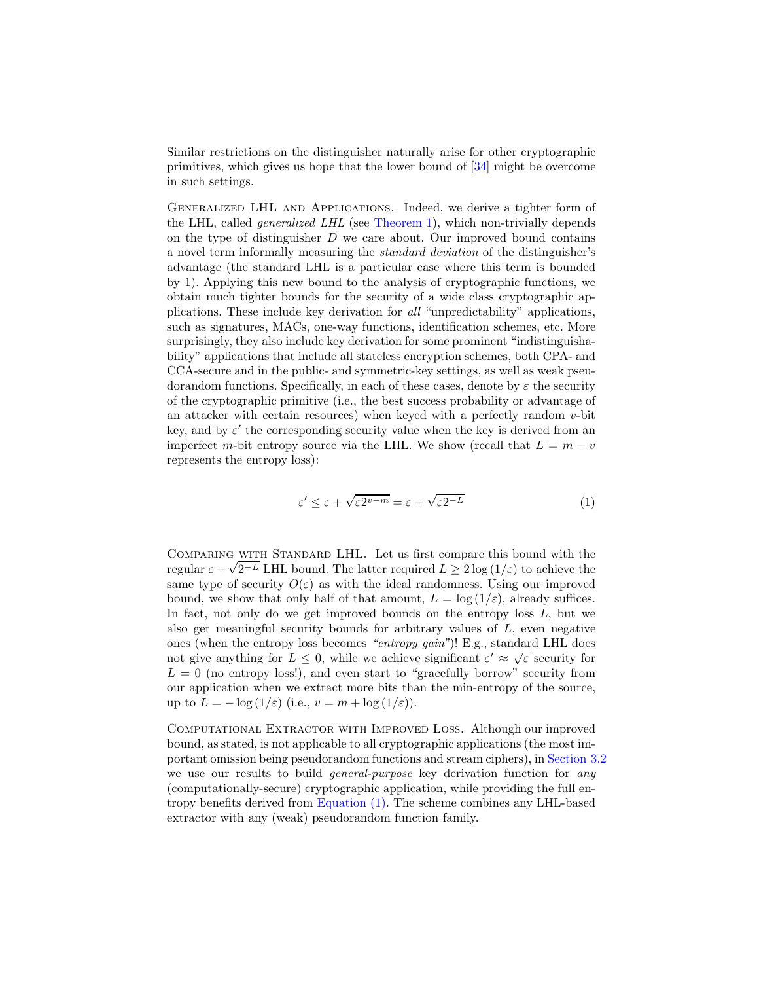Similar restrictions on the distinguisher naturally arise for other cryptographic primitives, which gives us hope that the lower bound of [\[34\]](#page-19-8) might be overcome in such settings.

Generalized LHL and Applications. Indeed, we derive a tighter form of the LHL, called generalized LHL (see [Theorem 1\)](#page-8-0), which non-trivially depends on the type of distinguisher  $D$  we care about. Our improved bound contains a novel term informally measuring the standard deviation of the distinguisher's advantage (the standard LHL is a particular case where this term is bounded by 1). Applying this new bound to the analysis of cryptographic functions, we obtain much tighter bounds for the security of a wide class cryptographic applications. These include key derivation for all "unpredictability" applications, such as signatures, MACs, one-way functions, identification schemes, etc. More surprisingly, they also include key derivation for some prominent "indistinguishability" applications that include all stateless encryption schemes, both CPA- and CCA-secure and in the public- and symmetric-key settings, as well as weak pseudorandom functions. Specifically, in each of these cases, denote by  $\varepsilon$  the security of the cryptographic primitive (i.e., the best success probability or advantage of an attacker with certain resources) when keyed with a perfectly random  $v$ -bit key, and by  $\varepsilon'$  the corresponding security value when the key is derived from an imperfect m-bit entropy source via the LHL. We show (recall that  $L = m - v$ represents the entropy loss):

<span id="page-3-0"></span>
$$
\varepsilon' \le \varepsilon + \sqrt{\varepsilon 2^{v-m}} = \varepsilon + \sqrt{\varepsilon 2^{-L}} \tag{1}
$$

Comparing with Standard LHL. Let us first compare this bound with the  $\frac{1}{\sqrt{2^{-L}}}$  LHL bound. The latter required  $L \ge 2 \log(1/\varepsilon)$  to achieve the same type of security  $O(\varepsilon)$  as with the ideal randomness. Using our improved bound, we show that only half of that amount,  $L = \log(1/\varepsilon)$ , already suffices. In fact, not only do we get improved bounds on the entropy loss  $L$ , but we also get meaningful security bounds for arbitrary values of L, even negative ones (when the entropy loss becomes "entropy gain")! E.g., standard LHL does not give anything for  $L \leq 0$ , while we achieve significant  $\varepsilon' \approx \sqrt{\varepsilon}$  security for  $L = 0$  (no entropy loss!), and even start to "gracefully borrow" security from our application when we extract more bits than the min-entropy of the source, up to  $L = -\log(1/\varepsilon)$  (i.e.,  $v = m + \log(1/\varepsilon)$ ).

Computational Extractor with Improved Loss. Although our improved bound, as stated, is not applicable to all cryptographic applications (the most important omission being pseudorandom functions and stream ciphers), in [Section 3.2](#page-13-0) we use our results to build *general-purpose* key derivation function for *any* (computationally-secure) cryptographic application, while providing the full entropy benefits derived from [Equation \(1\).](#page-3-0) The scheme combines any LHL-based extractor with any (weak) pseudorandom function family.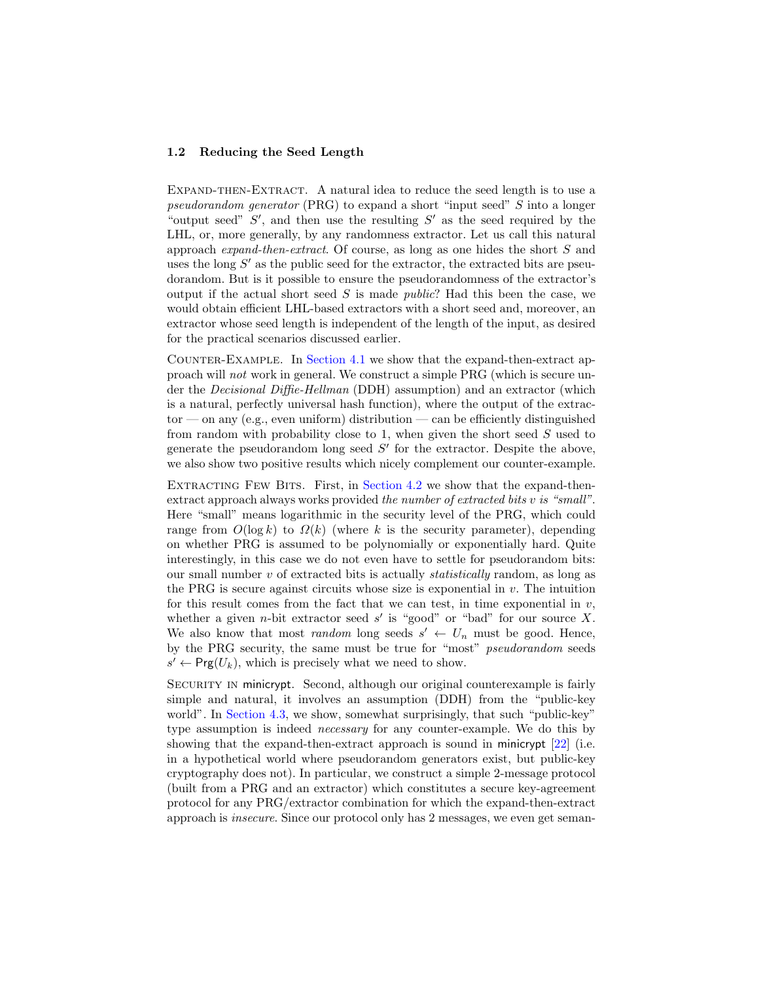#### 1.2 Reducing the Seed Length

EXPAND-THEN-EXTRACT. A natural idea to reduce the seed length is to use a pseudorandom generator (PRG) to expand a short "input seed" S into a longer "output seed"  $S'$ , and then use the resulting  $S'$  as the seed required by the LHL, or, more generally, by any randomness extractor. Let us call this natural approach expand-then-extract. Of course, as long as one hides the short S and uses the long  $S'$  as the public seed for the extractor, the extracted bits are pseudorandom. But is it possible to ensure the pseudorandomness of the extractor's output if the actual short seed S is made *public*? Had this been the case, we would obtain efficient LHL-based extractors with a short seed and, moreover, an extractor whose seed length is independent of the length of the input, as desired for the practical scenarios discussed earlier.

Counter-Example. In [Section 4.1](#page-15-0) we show that the expand-then-extract approach will not work in general. We construct a simple PRG (which is secure under the *Decisional Diffie-Hellman* (DDH) assumption) and an extractor (which is a natural, perfectly universal hash function), where the output of the extrac $tor$  — on any (e.g., even uniform) distribution — can be efficiently distinguished from random with probability close to 1, when given the short seed  $S$  used to generate the pseudorandom long seed  $S'$  for the extractor. Despite the above, we also show two positive results which nicely complement our counter-example.

EXTRACTING FEW BITS. First, in [Section 4.2](#page-16-0) we show that the expand-thenextract approach always works provided the number of extracted bits v is "small". Here "small" means logarithmic in the security level of the PRG, which could range from  $O(\log k)$  to  $\Omega(k)$  (where k is the security parameter), depending on whether PRG is assumed to be polynomially or exponentially hard. Quite interestingly, in this case we do not even have to settle for pseudorandom bits: our small number  $v$  of extracted bits is actually *statistically* random, as long as the PRG is secure against circuits whose size is exponential in  $v$ . The intuition for this result comes from the fact that we can test, in time exponential in  $v$ , whether a given *n*-bit extractor seed  $s'$  is "good" or "bad" for our source X. We also know that most *random* long seeds  $s' \leftarrow U_n$  must be good. Hence, by the PRG security, the same must be true for "most" pseudorandom seeds  $s' \leftarrow \text{Prg}(U_k)$ , which is precisely what we need to show.

SECURITY IN minicrypt. Second, although our original counterexample is fairly simple and natural, it involves an assumption (DDH) from the "public-key world". In [Section 4.3,](#page-16-1) we show, somewhat surprisingly, that such "public-key" type assumption is indeed *necessary* for any counter-example. We do this by showing that the expand-then-extract approach is sound in minicrypt [\[22\]](#page-19-12) (i.e. in a hypothetical world where pseudorandom generators exist, but public-key cryptography does not). In particular, we construct a simple 2-message protocol (built from a PRG and an extractor) which constitutes a secure key-agreement protocol for any PRG/extractor combination for which the expand-then-extract approach is insecure. Since our protocol only has 2 messages, we even get seman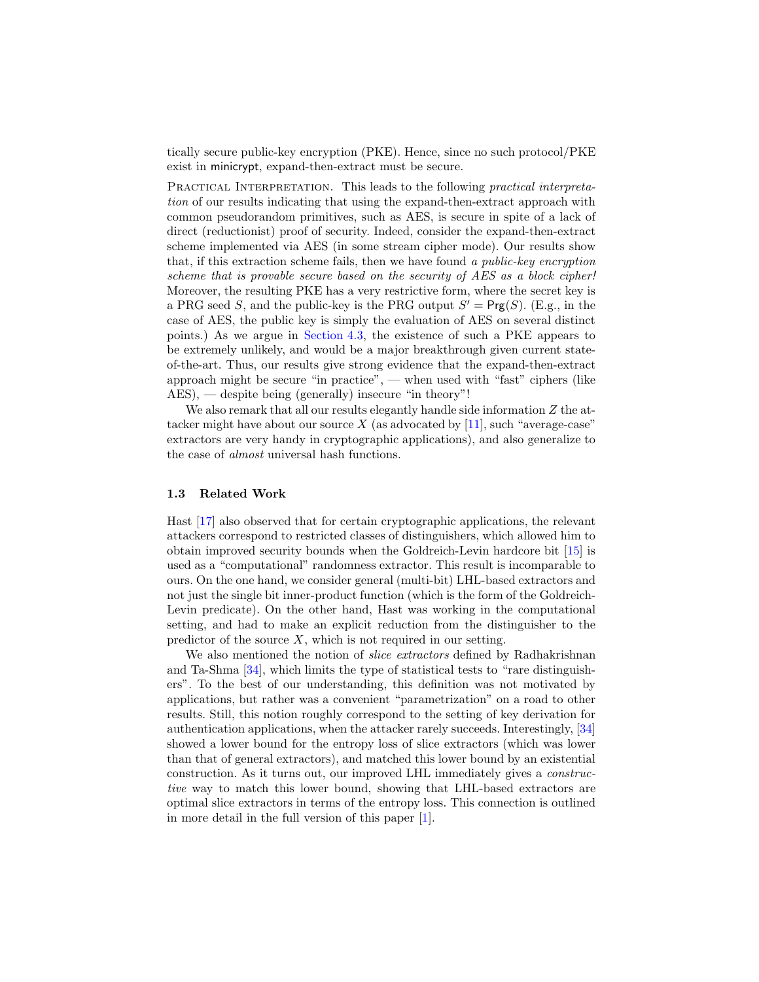tically secure public-key encryption (PKE). Hence, since no such protocol/PKE exist in minicrypt, expand-then-extract must be secure.

PRACTICAL INTERPRETATION. This leads to the following *practical interpreta*tion of our results indicating that using the expand-then-extract approach with common pseudorandom primitives, such as AES, is secure in spite of a lack of direct (reductionist) proof of security. Indeed, consider the expand-then-extract scheme implemented via AES (in some stream cipher mode). Our results show that, if this extraction scheme fails, then we have found a public-key encryption scheme that is provable secure based on the security of AES as a block cipher! Moreover, the resulting PKE has a very restrictive form, where the secret key is a PRG seed S, and the public-key is the PRG output  $S' = \text{Prg}(S)$ . (E.g., in the case of AES, the public key is simply the evaluation of AES on several distinct points.) As we argue in [Section 4.3,](#page-16-1) the existence of such a PKE appears to be extremely unlikely, and would be a major breakthrough given current stateof-the-art. Thus, our results give strong evidence that the expand-then-extract approach might be secure "in practice", — when used with "fast" ciphers (like AES), — despite being (generally) insecure "in theory"!

We also remark that all our results elegantly handle side information  $Z$  the attacker might have about our source  $X$  (as advocated by [\[11\]](#page-18-3), such "average-case" extractors are very handy in cryptographic applications), and also generalize to the case of almost universal hash functions.

#### 1.3 Related Work

Hast [\[17\]](#page-19-13) also observed that for certain cryptographic applications, the relevant attackers correspond to restricted classes of distinguishers, which allowed him to obtain improved security bounds when the Goldreich-Levin hardcore bit [\[15\]](#page-19-14) is used as a "computational" randomness extractor. This result is incomparable to ours. On the one hand, we consider general (multi-bit) LHL-based extractors and not just the single bit inner-product function (which is the form of the Goldreich-Levin predicate). On the other hand, Hast was working in the computational setting, and had to make an explicit reduction from the distinguisher to the predictor of the source  $X$ , which is not required in our setting.

We also mentioned the notion of *slice extractors* defined by Radhakrishnan and Ta-Shma [\[34\]](#page-19-8), which limits the type of statistical tests to "rare distinguishers". To the best of our understanding, this definition was not motivated by applications, but rather was a convenient "parametrization" on a road to other results. Still, this notion roughly correspond to the setting of key derivation for authentication applications, when the attacker rarely succeeds. Interestingly, [\[34\]](#page-19-8) showed a lower bound for the entropy loss of slice extractors (which was lower than that of general extractors), and matched this lower bound by an existential construction. As it turns out, our improved LHL immediately gives a constructive way to match this lower bound, showing that LHL-based extractors are optimal slice extractors in terms of the entropy loss. This connection is outlined in more detail in the full version of this paper [\[1\]](#page-18-9).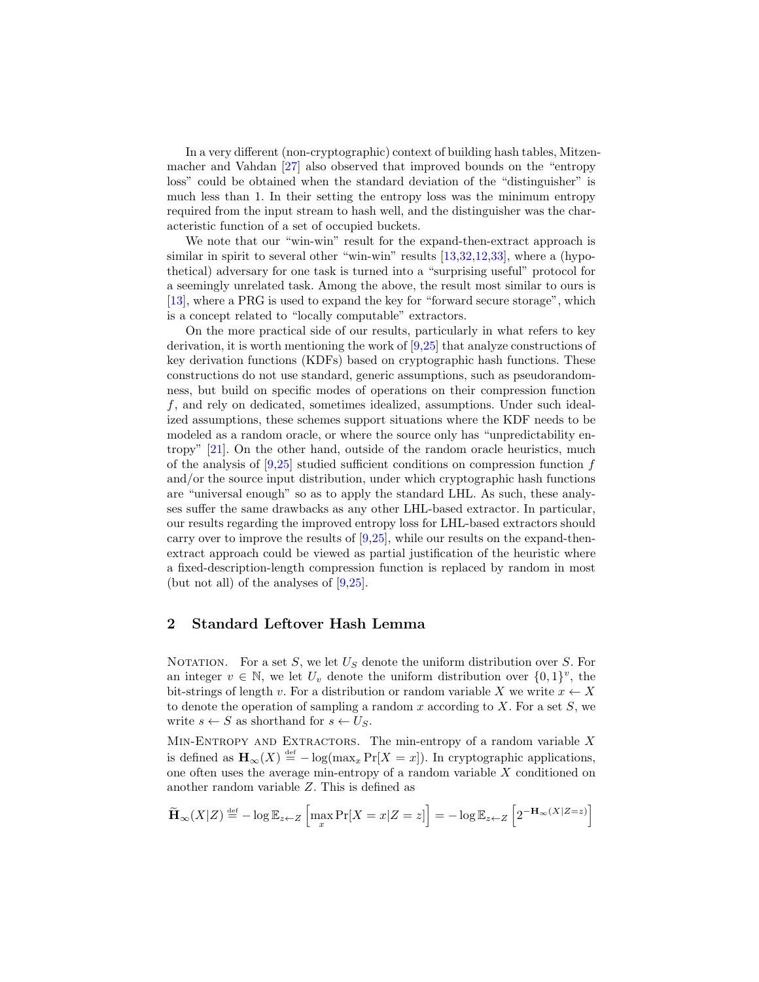In a very different (non-cryptographic) context of building hash tables, Mitzenmacher and Vahdan [\[27\]](#page-19-15) also observed that improved bounds on the "entropy loss" could be obtained when the standard deviation of the "distinguisher" is much less than 1. In their setting the entropy loss was the minimum entropy required from the input stream to hash well, and the distinguisher was the characteristic function of a set of occupied buckets.

We note that our "win-win" result for the expand-then-extract approach is similar in spirit to several other "win-win" results [\[13,](#page-18-10)[32,](#page-19-16)[12](#page-18-11)[,33\]](#page-19-17), where a (hypothetical) adversary for one task is turned into a "surprising useful" protocol for a seemingly unrelated task. Among the above, the result most similar to ours is [\[13\]](#page-18-10), where a PRG is used to expand the key for "forward secure storage", which is a concept related to "locally computable" extractors.

On the more practical side of our results, particularly in what refers to key derivation, it is worth mentioning the work of [\[9,](#page-18-12)[25\]](#page-19-2) that analyze constructions of key derivation functions (KDFs) based on cryptographic hash functions. These constructions do not use standard, generic assumptions, such as pseudorandomness, but build on specific modes of operations on their compression function f, and rely on dedicated, sometimes idealized, assumptions. Under such idealized assumptions, these schemes support situations where the KDF needs to be modeled as a random oracle, or where the source only has "unpredictability entropy" [\[21\]](#page-19-18). On the other hand, outside of the random oracle heuristics, much of the analysis of  $[9,25]$  $[9,25]$  studied sufficient conditions on compression function f and/or the source input distribution, under which cryptographic hash functions are "universal enough" so as to apply the standard LHL. As such, these analyses suffer the same drawbacks as any other LHL-based extractor. In particular, our results regarding the improved entropy loss for LHL-based extractors should carry over to improve the results of  $[9,25]$  $[9,25]$ , while our results on the expand-thenextract approach could be viewed as partial justification of the heuristic where a fixed-description-length compression function is replaced by random in most (but not all) of the analyses of [\[9,](#page-18-12)[25\]](#page-19-2).

# 2 Standard Leftover Hash Lemma

NOTATION. For a set S, we let  $U<sub>S</sub>$  denote the uniform distribution over S. For an integer  $v \in \mathbb{N}$ , we let  $U_v$  denote the uniform distribution over  $\{0,1\}^v$ , the bit-strings of length v. For a distribution or random variable X we write  $x \leftarrow X$ to denote the operation of sampling a random x according to X. For a set  $S$ , we write  $s \leftarrow S$  as shorthand for  $s \leftarrow U_S$ .

MIN-ENTROPY AND EXTRACTORS. The min-entropy of a random variable  $X$ is defined as  $\mathbf{H}_{\infty}(X) \stackrel{\text{def}}{=} -\log(\max_{x} \Pr[X=x])$ . In cryptographic applications, one often uses the average min-entropy of a random variable  $X$  conditioned on another random variable Z. This is defined as

$$
\widetilde{\mathbf{H}}_{\infty}(X|Z) \stackrel{\text{def}}{=} -\log \mathbb{E}_{z \leftarrow Z} \left[ \max_{x} \Pr[X = x | Z = z] \right] = -\log \mathbb{E}_{z \leftarrow Z} \left[ 2^{-\mathbf{H}_{\infty}(X|Z=z)} \right]
$$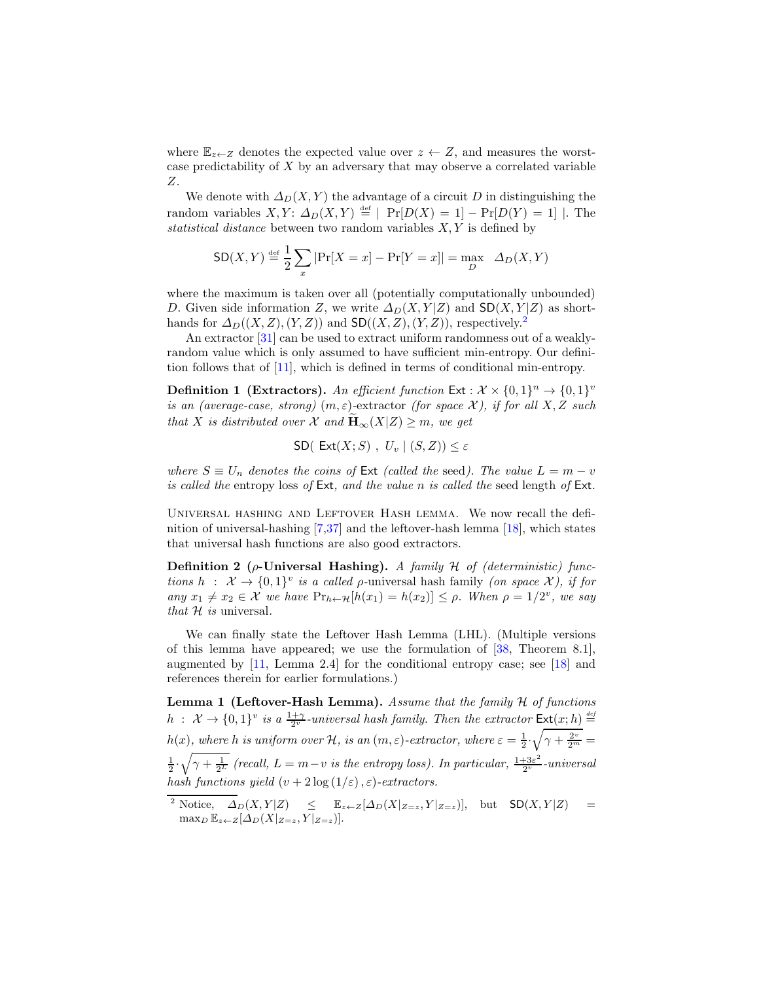where  $\mathbb{E}_{z\leftarrow Z}$  denotes the expected value over  $z \leftarrow Z$ , and measures the worstcase predictability of X by an adversary that may observe a correlated variable Z.

We denote with  $\Delta_D(X, Y)$  the advantage of a circuit D in distinguishing the random variables  $X, Y: \Delta_D(X, Y) \stackrel{\text{def}}{=} |\Pr[D(X) = 1] - \Pr[D(Y) = 1]|$ . The statistical distance between two random variables  $X, Y$  is defined by

$$
SD(X, Y) \stackrel{\text{def}}{=} \frac{1}{2} \sum_{x} |Pr[X = x] - Pr[Y = x]| = \max_{D} \Delta_D(X, Y)
$$

where the maximum is taken over all (potentially computationally unbounded) D. Given side information Z, we write  $\Delta_D(X, Y | Z)$  and  $SD(X, Y | Z)$  as shorthands for  $\Delta_D((X, Z), (Y, Z))$  and  $SD((X, Z), (Y, Z))$ , respectively.<sup>[2](#page-7-1)</sup>

An extractor [\[31\]](#page-19-1) can be used to extract uniform randomness out of a weaklyrandom value which is only assumed to have sufficient min-entropy. Our definition follows that of [\[11\]](#page-18-3), which is defined in terms of conditional min-entropy.

**Definition 1 (Extractors).** An efficient function  $\textsf{Ext}: \mathcal{X} \times \{0,1\}^n \to \{0,1\}^v$ is an (average-case, strong)  $(m, \varepsilon)$ -extractor (for space X), if for all X, Z such that X is distributed over X and  $\mathbf{H}_{\infty}(X|Z) \geq m$ , we get

$$
\mathsf{SD}(\mathsf{Ext}(X;S), U_v | (S,Z)) \leq \varepsilon
$$

where  $S \equiv U_n$  denotes the coins of Ext (called the seed). The value  $L = m - v$ is called the entropy loss of Ext, and the value n is called the seed length of Ext.

Universal hashing and Leftover Hash lemma. We now recall the definition of universal-hashing [\[7,](#page-18-0)[37\]](#page-19-5) and the leftover-hash lemma [\[18\]](#page-19-0), which states that universal hash functions are also good extractors.

<span id="page-7-0"></span>Definition 2 ( $\rho$ -Universal Hashing). A family H of (deterministic) functions  $h : \mathcal{X} \to \{0,1\}^v$  is a called *ρ*-universal hash family (on space X), if for any  $x_1 \neq x_2 \in \mathcal{X}$  we have  $\Pr_{h \leftarrow \mathcal{H}}[h(x_1) = h(x_2)] \leq \rho$ . When  $\rho = 1/2^v$ , we say that  $H$  is universal.

We can finally state the Leftover Hash Lemma (LHL). (Multiple versions of this lemma have appeared; we use the formulation of [\[38,](#page-19-19) Theorem 8.1], augmented by [\[11,](#page-18-3) Lemma 2.4] for the conditional entropy case; see [\[18\]](#page-19-0) and references therein for earlier formulations.)

<span id="page-7-2"></span>**Lemma 1 (Leftover-Hash Lemma).** Assume that the family  $H$  of functions  $h$  :  $\mathcal{X} \to \{0,1\}^v$  is a  $\frac{1+\gamma}{2^v}$ -universal hash family. Then the extractor  $\mathsf{Ext}(x;h) \stackrel{\text{def}}{=}$  $h(x)$ , where h is uniform over  $H$ , is an  $(m, \varepsilon)$ -extractor, where  $\varepsilon = \frac{1}{2}$ .  $\sqrt{\gamma + \frac{2^v}{2^m}} =$  $\frac{1}{2}$ .  $\sqrt{\gamma + \frac{1}{2^L}}$  (recall,  $L = m - v$  is the entropy loss). In particular,  $\frac{1+3\varepsilon^2}{2^v}$ -universal hash functions yield  $(v + 2 \log(1/\varepsilon), \varepsilon)$ -extractors.

<span id="page-7-1"></span><sup>&</sup>lt;sup>2</sup> Notice,  $\Delta_D(X, Y|Z) \leq \mathbb{E}_{z \leftarrow Z}[\Delta_D(X|_{Z=z}, Y|_{Z=z})],$  but  $SD(X, Y|Z) =$  $\max_D \mathbb{E}_{z \leftarrow Z}[\Delta_D(X|z=z, Y|z=z)].$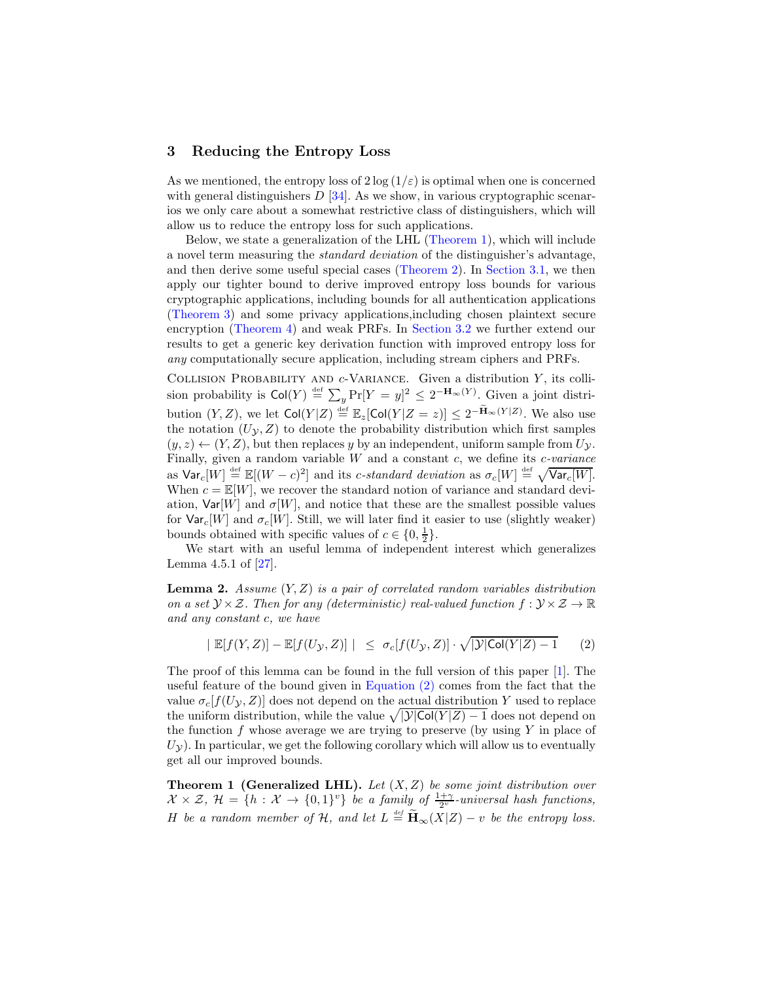### 3 Reducing the Entropy Loss

As we mentioned, the entropy loss of  $2 \log(1/\varepsilon)$  is optimal when one is concerned with general distinguishers  $D$  [\[34\]](#page-19-8). As we show, in various cryptographic scenarios we only care about a somewhat restrictive class of distinguishers, which will allow us to reduce the entropy loss for such applications.

Below, we state a generalization of the LHL [\(Theorem 1\)](#page-8-0), which will include a novel term measuring the standard deviation of the distinguisher's advantage, and then derive some useful special cases [\(Theorem 2\)](#page-9-0). In [Section 3.1,](#page-10-0) we then apply our tighter bound to derive improved entropy loss bounds for various cryptographic applications, including bounds for all authentication applications [\(Theorem 3\)](#page-11-0) and some privacy applications,including chosen plaintext secure encryption [\(Theorem 4\)](#page-12-0) and weak PRFs. In [Section 3.2](#page-13-0) we further extend our results to get a generic key derivation function with improved entropy loss for any computationally secure application, including stream ciphers and PRFs.

COLLISION PROBABILITY AND  $c$ -VARIANCE. Given a distribution Y, its collision probability is  $\text{Col}(Y) \stackrel{\text{def}}{=} \sum_y \Pr[Y = y]^2 \leq 2^{-\mathbf{H}_{\infty}(Y)}$ . Given a joint distribution  $(Y, Z)$ , we let  $\text{Col}(Y|Z) \stackrel{\text{def}}{=} \mathbb{E}_z[\text{Col}(Y|Z=z)] \leq 2^{-\widetilde{\mathbf{H}}_{\infty}(Y|Z)}$ . We also use the notation  $(U_y, Z)$  to denote the probability distribution which first samples  $(y, z) \leftarrow (Y, Z)$ , but then replaces y by an independent, uniform sample from  $U_{\mathcal{V}}$ . Finally, given a random variable  $W$  and a constant  $c$ , we define its  $c$ -variance as  $\text{Var}_c[W] \stackrel{\text{def}}{=} \mathbb{E}[(W-c)^2]$  and its *c*-standard deviation as  $\sigma_c[W] \stackrel{\text{def}}{=} \sqrt{\text{Var}_c[W]}$ . When  $c = \mathbb{E}[W]$ , we recover the standard notion of variance and standard deviation,  $Var[W]$  and  $\sigma[W]$ , and notice that these are the smallest possible values for  $\text{Var}_{c}[W]$  and  $\sigma_{c}[W]$ . Still, we will later find it easier to use (slightly weaker) bounds obtained with specific values of  $c \in \{0, \frac{1}{2}\}.$ 

We start with an useful lemma of independent interest which generalizes Lemma 4.5.1 of [\[27\]](#page-19-15).

**Lemma 2.** Assume  $(Y, Z)$  is a pair of correlated random variables distribution on a set  $\mathcal{Y} \times \mathcal{Z}$ . Then for any (deterministic) real-valued function  $f : \mathcal{Y} \times \mathcal{Z} \to \mathbb{R}$ and any constant c, we have

<span id="page-8-1"></span>
$$
|\mathbb{E}[f(Y,Z)] - \mathbb{E}[f(U_{\mathcal{Y}}, Z)]| \leq \sigma_c[f(U_{\mathcal{Y}}, Z)] \cdot \sqrt{|\mathcal{Y}| \text{Col}(Y|Z) - 1} \qquad (2)
$$

The proof of this lemma can be found in the full version of this paper [\[1\]](#page-18-9). The useful feature of the bound given in [Equation \(2\)](#page-8-1) comes from the fact that the value  $\sigma_c[f(U_\mathcal{Y}, Z)]$  does not depend on the actual distribution Y used to replace the uniform distribution, while the value  $\sqrt{|\mathcal{Y}| \text{Col}(Y|Z) - 1}$  does not depend on the function  $f$  whose average we are trying to preserve (by using  $Y$  in place of  $U_{\mathcal{V}}$ ). In particular, we get the following corollary which will allow us to eventually get all our improved bounds.

<span id="page-8-0"></span>**Theorem 1 (Generalized LHL).** Let  $(X, Z)$  be some joint distribution over  $X \times \mathcal{Z}$ ,  $\mathcal{H} = \{h : \mathcal{X} \to \{0,1\}^v\}$  be a family of  $\frac{1+\gamma}{2^v}$ -universal hash functions, H be a random member of H, and let  $L \stackrel{\text{def}}{=} \widetilde{H}_{\infty}(X|Z) - v$  be the entropy loss.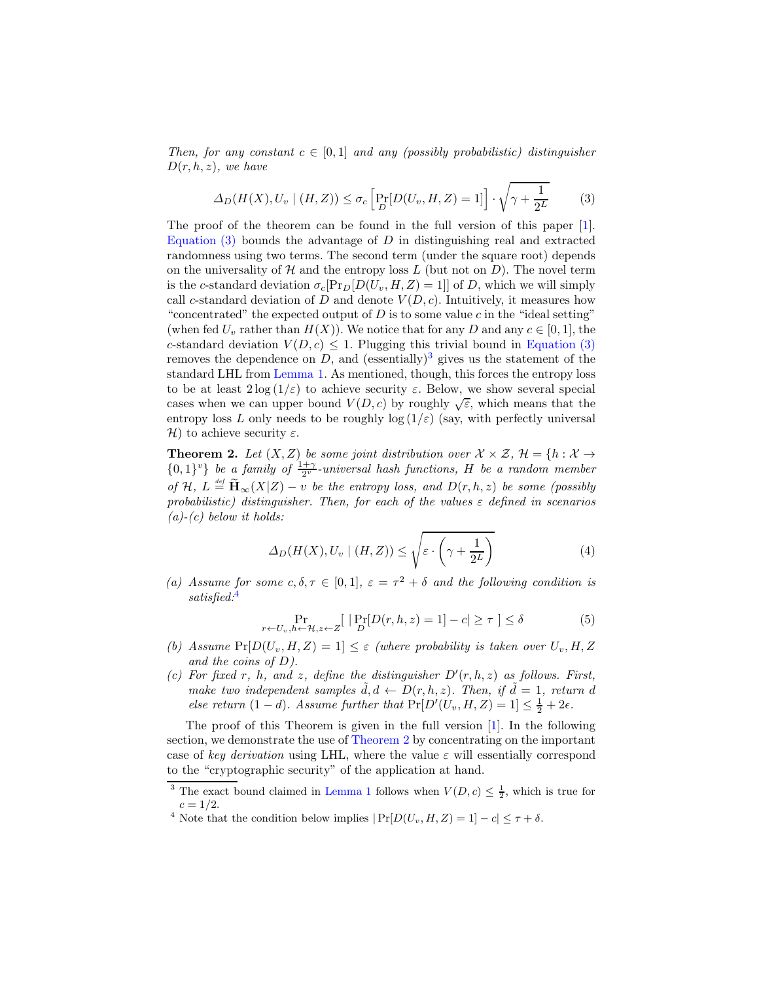Then, for any constant  $c \in [0,1]$  and any (possibly probabilistic) distinguisher  $D(r, h, z)$ , we have

<span id="page-9-1"></span>
$$
\Delta_D(H(X), U_v \mid (H, Z)) \le \sigma_c \left[ \Pr_D[U(U_v, H, Z) = 1] \right] \cdot \sqrt{\gamma + \frac{1}{2^L}} \tag{3}
$$

The proof of the theorem can be found in the full version of this paper [\[1\]](#page-18-9). Equation  $(3)$  bounds the advantage of D in distinguishing real and extracted randomness using two terms. The second term (under the square root) depends on the universality of  $H$  and the entropy loss  $L$  (but not on  $D$ ). The novel term is the c-standard deviation  $\sigma_c[Pr_D[D(U_v, H, Z) = 1]]$  of D, which we will simply call c-standard deviation of D and denote  $V(D, c)$ . Intuitively, it measures how "concentrated" the expected output of  $D$  is to some value c in the "ideal setting" (when fed  $U_v$  rather than  $H(X)$ ). We notice that for any D and any  $c \in [0,1]$ , the c-standard deviation  $V(D, c) \leq 1$ . Plugging this trivial bound in [Equation \(3\)](#page-9-1) removes the dependence on D, and (essentially)<sup>[3](#page-9-2)</sup> gives us the statement of the standard LHL from [Lemma 1.](#page-7-2) As mentioned, though, this forces the entropy loss to be at least  $2\log(1/\varepsilon)$  to achieve security  $\varepsilon$ . Below, we show several special cases when we can upper bound  $V(D, c)$  by roughly  $\sqrt{\varepsilon}$ , which means that the entropy loss L only needs to be roughly log  $(1/\varepsilon)$  (say, with perfectly universal H) to achieve security  $\varepsilon$ .

<span id="page-9-0"></span>**Theorem 2.** Let  $(X, Z)$  be some joint distribution over  $X \times Z$ ,  $\mathcal{H} = \{h : X \rightarrow$  ${0,1}^v$  be a family of  $\frac{1+\gamma}{2^v}$ -universal hash functions, H be a random member of H,  $L \stackrel{\text{\tiny def}}{=} \widetilde{H}_{\infty}(X|Z) - v$  be the entropy loss, and  $D(r, h, z)$  be some (possibly probabilistic) distinguisher. Then, for each of the values  $\varepsilon$  defined in scenarios  $(a)-(c)$  below it holds:

<span id="page-9-4"></span>
$$
\Delta_D(H(X), U_v \mid (H, Z)) \le \sqrt{\varepsilon \cdot \left(\gamma + \frac{1}{2^L}\right)}\tag{4}
$$

(a) Assume for some  $c, \delta, \tau \in [0, 1], \varepsilon = \tau^2 + \delta$  and the following condition is satisfied:<sup>[4](#page-9-3)</sup>

$$
\Pr_{r \leftarrow U_v, h \leftarrow \mathcal{H}, z \leftarrow Z} [\left| \Pr_{D} [D(r, h, z) = 1] - c \right| \ge \tau \right] \le \delta \tag{5}
$$

- (b) Assume  $Pr[D(U_v, H, Z) = 1] \le \varepsilon$  (where probability is taken over  $U_v, H, Z$ ) and the coins of  $D$ ).
- (c) For fixed r, h, and z, define the distinguisher  $D'(r, h, z)$  as follows. First, make two independent samples  $\tilde{d}, d \leftarrow D(r, h, z)$ . Then, if  $\tilde{d} = 1$ , return d else return  $(1-d)$ . Assume further that  $Pr[D'(U_v, H, Z) = 1] \le \frac{1}{2} + 2\epsilon$ .

The proof of this Theorem is given in the full version [\[1\]](#page-18-9). In the following section, we demonstrate the use of [Theorem 2](#page-9-0) by concentrating on the important case of key derivation using LHL, where the value  $\varepsilon$  will essentially correspond to the "cryptographic security" of the application at hand.

<sup>&</sup>lt;sup>3</sup> The exact bound claimed in [Lemma 1](#page-7-2) follows when  $V(D, c) \leq \frac{1}{2}$ , which is true for  $c = 1/2.$ 

<span id="page-9-3"></span><span id="page-9-2"></span><sup>&</sup>lt;sup>4</sup> Note that the condition below implies  $|\Pr[D(U_v, H, Z) = 1] - c| \leq \tau + \delta$ .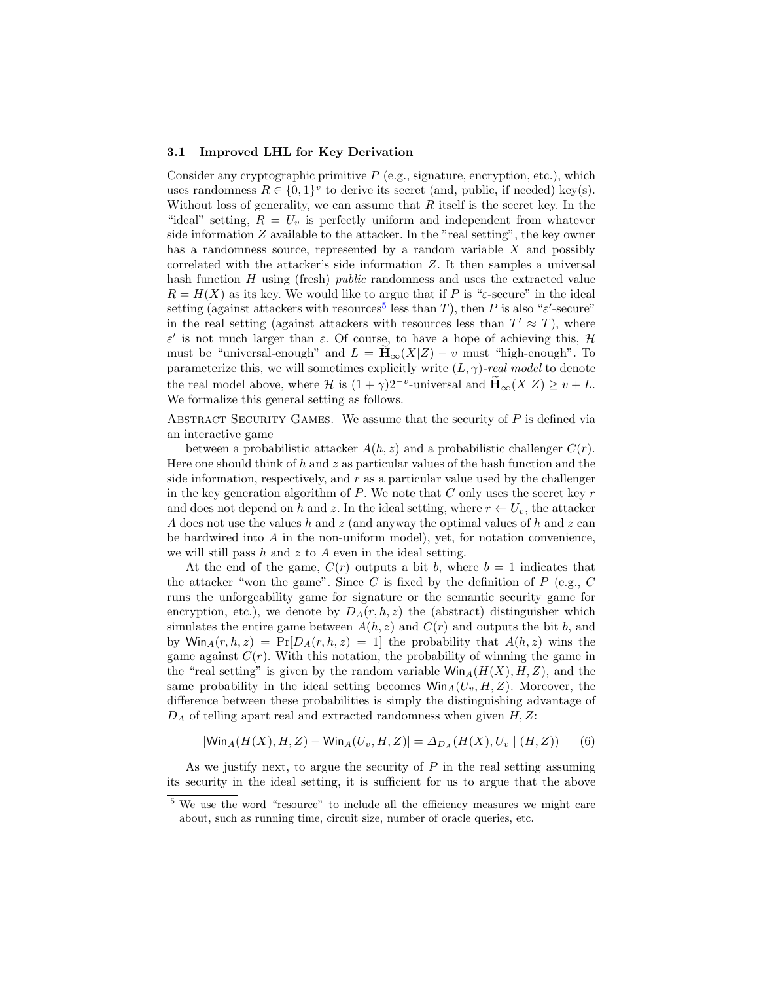#### <span id="page-10-0"></span>3.1 Improved LHL for Key Derivation

Consider any cryptographic primitive  $P$  (e.g., signature, encryption, etc.), which uses randomness  $R \in \{0,1\}^v$  to derive its secret (and, public, if needed) key(s). Without loss of generality, we can assume that  $R$  itself is the secret key. In the "ideal" setting,  $R = U_v$  is perfectly uniform and independent from whatever side information  $Z$  available to the attacker. In the "real setting", the key owner has a randomness source, represented by a random variable  $X$  and possibly correlated with the attacker's side information Z. It then samples a universal hash function  $H$  using (fresh) *public* randomness and uses the extracted value  $R = H(X)$  as its key. We would like to argue that if P is " $\varepsilon$ -secure" in the ideal setting (against attackers with resources<sup>[5](#page-10-1)</sup> less than T), then P is also " $\varepsilon'$ -secure" in the real setting (against attackers with resources less than  $T' \approx T$ ), where ε ′ is not much larger than ε. Of course, to have a hope of achieving this, H must be "universal-enough" and  $L = H_{\infty}(X|Z) - v$  must "high-enough". To parameterize this, we will sometimes explicitly write  $(L, \gamma)$ -real model to denote the real model above, where  $\mathcal H$  is  $(1+\gamma)2^{-v}$ -universal and  $\widetilde{\mathbf H}_{\infty}(X|Z) \geq v + L$ . We formalize this general setting as follows.

ABSTRACT SECURITY GAMES. We assume that the security of  $P$  is defined via an interactive game

between a probabilistic attacker  $A(h, z)$  and a probabilistic challenger  $C(r)$ . Here one should think of h and z as particular values of the hash function and the side information, respectively, and r as a particular value used by the challenger in the key generation algorithm of  $P$ . We note that  $C$  only uses the secret key  $r$ and does not depend on h and z. In the ideal setting, where  $r \leftarrow U_v$ , the attacker A does not use the values h and z (and anyway the optimal values of h and z can be hardwired into A in the non-uniform model), yet, for notation convenience, we will still pass  $h$  and  $z$  to  $A$  even in the ideal setting.

At the end of the game,  $C(r)$  outputs a bit b, where  $b = 1$  indicates that the attacker "won the game". Since C is fixed by the definition of  $P$  (e.g.,  $C$ runs the unforgeability game for signature or the semantic security game for encryption, etc.), we denote by  $D_A(r, h, z)$  the (abstract) distinguisher which simulates the entire game between  $A(h, z)$  and  $C(r)$  and outputs the bit b, and by  $\textsf{Win}_A(r, h, z) = \Pr[D_A(r, h, z) = 1]$  the probability that  $A(h, z)$  wins the game against  $C(r)$ . With this notation, the probability of winning the game in the "real setting" is given by the random variable  $\text{Win}_{A}(H(X), H, Z)$ , and the same probability in the ideal setting becomes  $\text{Win}_{A}(U_{v}, H, Z)$ . Moreover, the difference between these probabilities is simply the distinguishing advantage of  $D_A$  of telling apart real and extracted randomness when given  $H, Z$ :

<span id="page-10-2"></span>
$$
|\text{Win}_{A}(H(X), H, Z) - \text{Win}_{A}(U_{v}, H, Z)| = \Delta_{D_{A}}(H(X), U_{v} | (H, Z))
$$
(6)

As we justify next, to argue the security of  $P$  in the real setting assuming its security in the ideal setting, it is sufficient for us to argue that the above

<span id="page-10-1"></span><sup>&</sup>lt;sup>5</sup> We use the word "resource" to include all the efficiency measures we might care about, such as running time, circuit size, number of oracle queries, etc.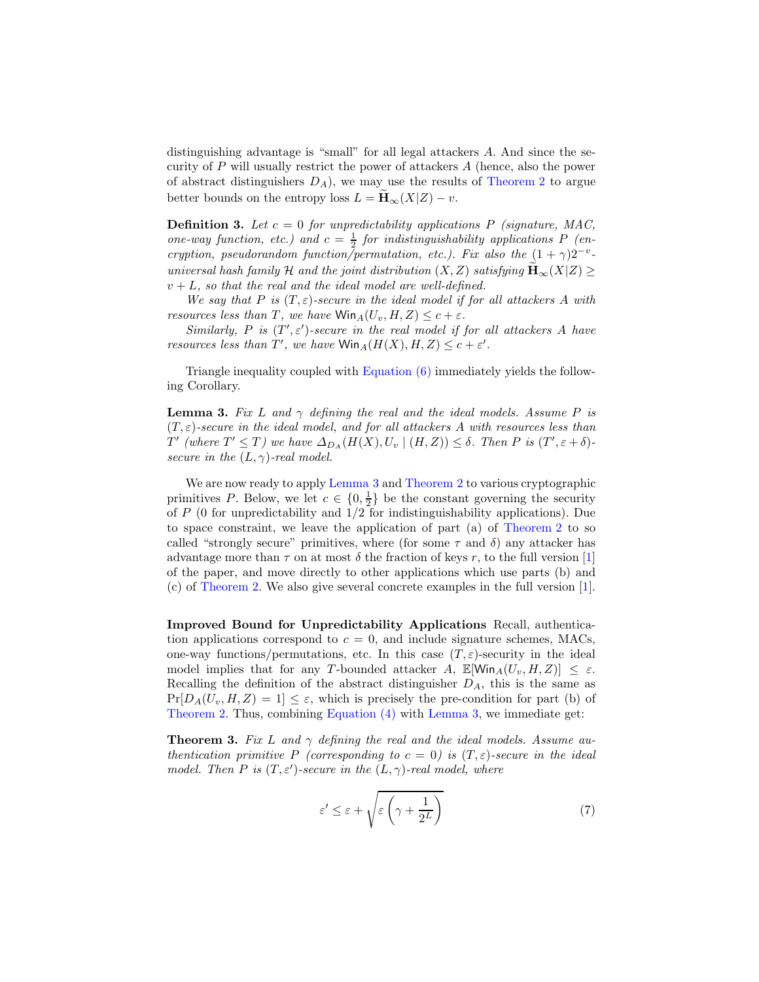distinguishing advantage is "small" for all legal attackers A. And since the security of P will usually restrict the power of attackers A (hence, also the power of abstract distinguishers  $D_A$ , we may use the results of [Theorem 2](#page-9-0) to argue better bounds on the entropy loss  $L = \widetilde{H}_{\infty}(X|Z) - v$ .

**Definition 3.** Let  $c = 0$  for unpredictability applications P (signature, MAC, one-way function, etc.) and  $c = \frac{1}{2}$  for indistinguishability applications P (encryption, pseudorandom function/permutation, etc.). Fix also the  $(1 + \gamma)2^{-v}$ universal hash family H and the joint distribution  $(X, Z)$  satisfying  $\mathbf{H}_{\infty}(X|Z) \geq$  $v + L$ , so that the real and the ideal model are well-defined.

We say that P is  $(T, \varepsilon)$ -secure in the ideal model if for all attackers A with resources less than T, we have  $\text{Win}_{A}(U_{v}, H, Z) \leq c + \varepsilon$ .

Similarly, P is  $(T', \varepsilon')$ -secure in the real model if for all attackers A have resources less than T', we have  $\text{Win}_A(H(X), H, Z) \leq c + \varepsilon'.$ 

<span id="page-11-1"></span>Triangle inequality coupled with [Equation \(6\)](#page-10-2) immediately yields the following Corollary.

**Lemma 3.** Fix L and  $\gamma$  defining the real and the ideal models. Assume P is  $(T, \varepsilon)$ -secure in the ideal model, and for all attackers A with resources less than  $T'$  (where  $T' \leq T$ ) we have  $\Delta_{D_A}(H(X), U_v \mid (H, Z)) \leq \delta$ . Then P is  $(T', \varepsilon + \delta)$ secure in the  $(L, \gamma)$ -real model.

We are now ready to apply [Lemma 3](#page-11-1) and [Theorem 2](#page-9-0) to various cryptographic primitives P. Below, we let  $c \in \{0, \frac{1}{2}\}$  be the constant governing the security of  $P$  (0 for unpredictability and  $1/2$  for indistinguishability applications). Due to space constraint, we leave the application of part (a) of [Theorem 2](#page-9-0) to so called "strongly secure" primitives, where (for some  $\tau$  and  $\delta$ ) any attacker has advantage more than  $\tau$  on at most  $\delta$  the fraction of keys r, to the full version [\[1\]](#page-18-9) of the paper, and move directly to other applications which use parts (b) and (c) of [Theorem 2.](#page-9-0) We also give several concrete examples in the full version [\[1\]](#page-18-9).

Improved Bound for Unpredictability Applications Recall, authentication applications correspond to  $c = 0$ , and include signature schemes, MACs, one-way functions/permutations, etc. In this case  $(T, \varepsilon)$ -security in the ideal model implies that for any T-bounded attacker A,  $\mathbb{E}[\text{Win}_{A}(U_{v}, H, Z)] \leq \varepsilon$ . Recalling the definition of the abstract distinguisher  $D_A$ , this is the same as  $Pr[D_A(U_v, H, Z) = 1] \leq \varepsilon$ , which is precisely the pre-condition for part (b) of [Theorem 2.](#page-9-0) Thus, combining [Equation \(4\)](#page-9-4) with [Lemma 3,](#page-11-1) we immediate get:

<span id="page-11-0"></span>**Theorem 3.** Fix L and  $\gamma$  defining the real and the ideal models. Assume authentication primitive P (corresponding to  $c = 0$ ) is  $(T, \varepsilon)$ -secure in the ideal model. Then P is  $(T, \varepsilon')$ -secure in the  $(L, \gamma)$ -real model, where

$$
\varepsilon' \le \varepsilon + \sqrt{\varepsilon \left(\gamma + \frac{1}{2^L}\right)}\tag{7}
$$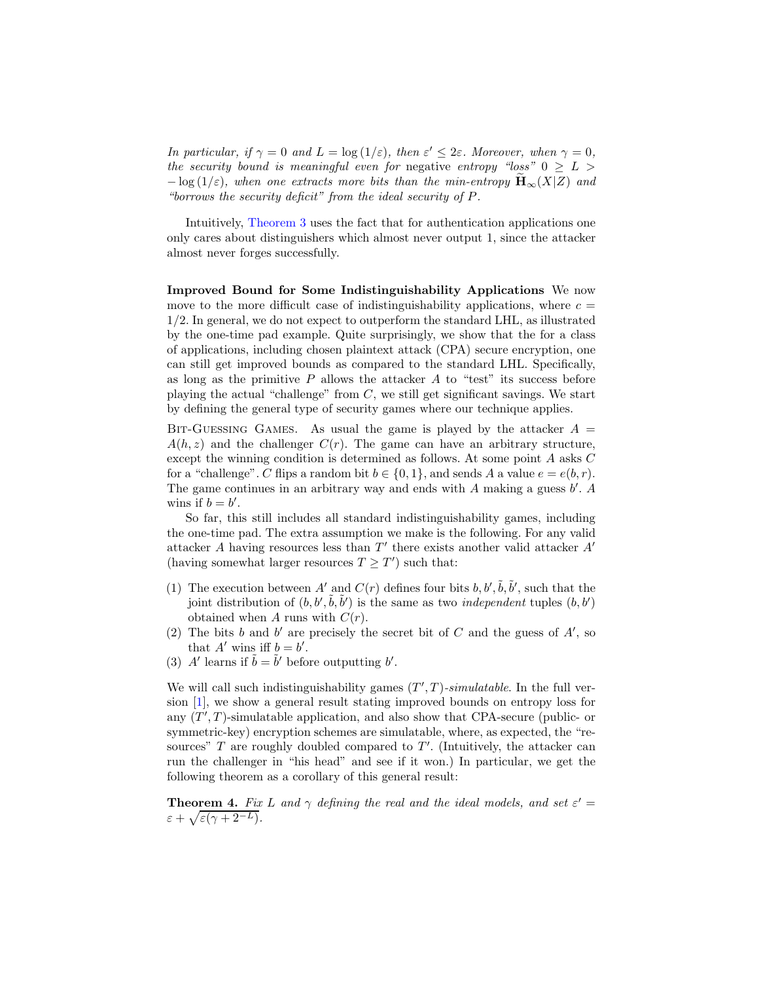In particular, if  $\gamma = 0$  and  $L = \log(1/\varepsilon)$ , then  $\varepsilon' \leq 2\varepsilon$ . Moreover, when  $\gamma = 0$ , the security bound is meaningful even for negative entropy "loss"  $0 \geq L$  $-\log(1/\varepsilon)$ , when one extracts more bits than the min-entropy  $\mathbf{H}_{\infty}(X|Z)$  and "borrows the security deficit" from the ideal security of P.

Intuitively, [Theorem 3](#page-11-0) uses the fact that for authentication applications one only cares about distinguishers which almost never output 1, since the attacker almost never forges successfully.

<span id="page-12-1"></span>Improved Bound for Some Indistinguishability Applications We now move to the more difficult case of indistinguishability applications, where  $c =$ 1/2. In general, we do not expect to outperform the standard LHL, as illustrated by the one-time pad example. Quite surprisingly, we show that the for a class of applications, including chosen plaintext attack (CPA) secure encryption, one can still get improved bounds as compared to the standard LHL. Specifically, as long as the primitive  $P$  allows the attacker  $A$  to "test" its success before playing the actual "challenge" from  $C$ , we still get significant savings. We start by defining the general type of security games where our technique applies.

BIT-GUESSING GAMES. As usual the game is played by the attacker  $A =$  $A(h, z)$  and the challenger  $C(r)$ . The game can have an arbitrary structure, except the winning condition is determined as follows. At some point A asks C for a "challenge". C flips a random bit  $b \in \{0, 1\}$ , and sends A a value  $e = e(b, r)$ . The game continues in an arbitrary way and ends with  $A$  making a guess  $b'$ .  $A$ wins if  $b = b'$ .

So far, this still includes all standard indistinguishability games, including the one-time pad. The extra assumption we make is the following. For any valid attacker  $A$  having resources less than  $T'$  there exists another valid attacker  $A'$ (having somewhat larger resources  $T \geq T'$ ) such that:

- (1) The execution between A' and  $C(r)$  defines four bits  $b, b', \tilde{b}, \tilde{b}'$ , such that the joint distribution of  $(b, b', \tilde{b}, \tilde{b}')$  is the same as two *independent* tuples  $(b, b')$ obtained when A runs with  $C(r)$ .
- (2) The bits b and b' are precisely the secret bit of C and the guess of  $A'$ , so that  $A'$  wins iff  $b = b'$ .
- (3) A' learns if  $\tilde{b} = \tilde{b}'$  before outputting b'.

We will call such indistinguishability games  $(T', T)$ -simulatable. In the full version [\[1\]](#page-18-9), we show a general result stating improved bounds on entropy loss for any  $(T', T)$ -simulatable application, and also show that CPA-secure (public- or symmetric-key) encryption schemes are simulatable, where, as expected, the "resources"  $T$  are roughly doubled compared to  $T'$ . (Intuitively, the attacker can run the challenger in "his head" and see if it won.) In particular, we get the following theorem as a corollary of this general result:

<span id="page-12-0"></span>**Theorem 4.** Fix L and  $\gamma$  defining the real and the ideal models, and set  $\varepsilon' =$  $\varepsilon + \sqrt{\varepsilon(\gamma + 2^{-L})}.$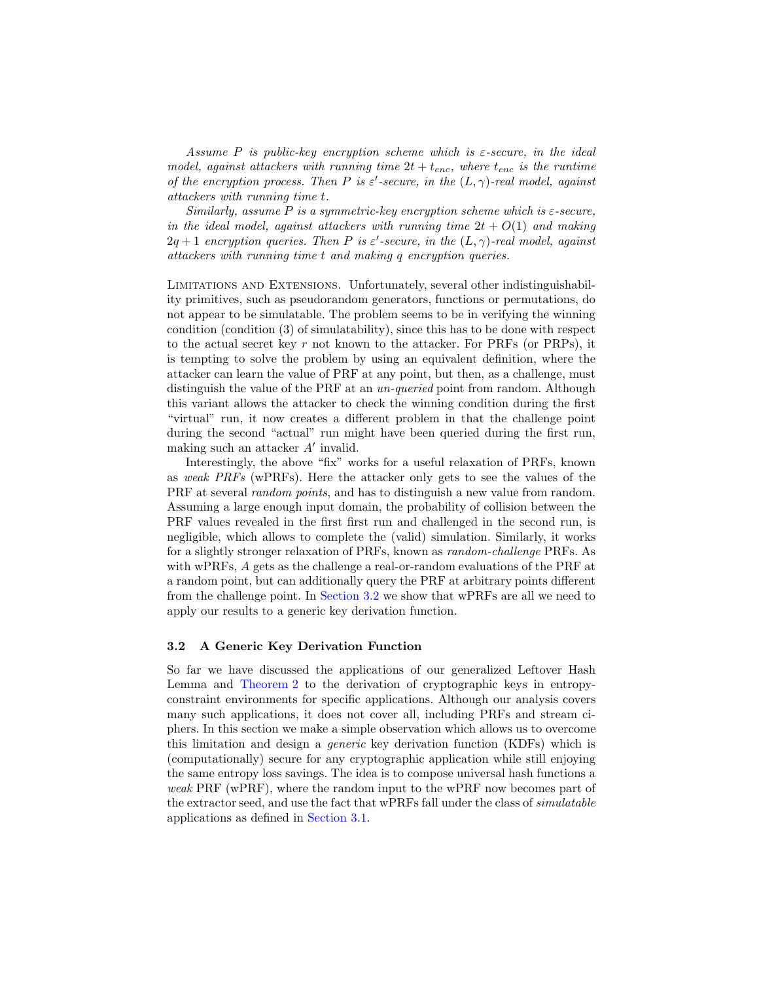Assume P is public-key encryption scheme which is  $\varepsilon$ -secure, in the ideal model, against attackers with running time  $2t + t_{enc}$ , where  $t_{enc}$  is the runtime of the encryption process. Then P is  $\varepsilon'$ -secure, in the  $(L, \gamma)$ -real model, against attackers with running time t.

Similarly, assume  $P$  is a symmetric-key encryption scheme which is  $\varepsilon$ -secure, in the ideal model, against attackers with running time  $2t + O(1)$  and making  $2q+1$  encryption queries. Then P is  $\varepsilon'$ -secure, in the  $(L, \gamma)$ -real model, against attackers with running time t and making q encryption queries.

Limitations and Extensions. Unfortunately, several other indistinguishability primitives, such as pseudorandom generators, functions or permutations, do not appear to be simulatable. The problem seems to be in verifying the winning condition (condition (3) of simulatability), since this has to be done with respect to the actual secret key r not known to the attacker. For  $PRFs$  (or  $PRPs$ ), it is tempting to solve the problem by using an equivalent definition, where the attacker can learn the value of PRF at any point, but then, as a challenge, must distinguish the value of the PRF at an *un-queried* point from random. Although this variant allows the attacker to check the winning condition during the first "virtual" run, it now creates a different problem in that the challenge point during the second "actual" run might have been queried during the first run, making such an attacker  $A'$  invalid.

Interestingly, the above "fix" works for a useful relaxation of PRFs, known as weak PRFs (wPRFs). Here the attacker only gets to see the values of the PRF at several *random points*, and has to distinguish a new value from random. Assuming a large enough input domain, the probability of collision between the PRF values revealed in the first first run and challenged in the second run, is negligible, which allows to complete the (valid) simulation. Similarly, it works for a slightly stronger relaxation of PRFs, known as random-challenge PRFs. As with wPRFs, A gets as the challenge a real-or-random evaluations of the PRF at a random point, but can additionally query the PRF at arbitrary points different from the challenge point. In [Section 3.2](#page-13-0) we show that wPRFs are all we need to apply our results to a generic key derivation function.

### <span id="page-13-0"></span>3.2 A Generic Key Derivation Function

So far we have discussed the applications of our generalized Leftover Hash Lemma and [Theorem 2](#page-9-0) to the derivation of cryptographic keys in entropyconstraint environments for specific applications. Although our analysis covers many such applications, it does not cover all, including PRFs and stream ciphers. In this section we make a simple observation which allows us to overcome this limitation and design a generic key derivation function (KDFs) which is (computationally) secure for any cryptographic application while still enjoying the same entropy loss savings. The idea is to compose universal hash functions a weak PRF (wPRF), where the random input to the wPRF now becomes part of the extractor seed, and use the fact that wPRFs fall under the class of simulatable applications as defined in [Section 3.1.](#page-12-1)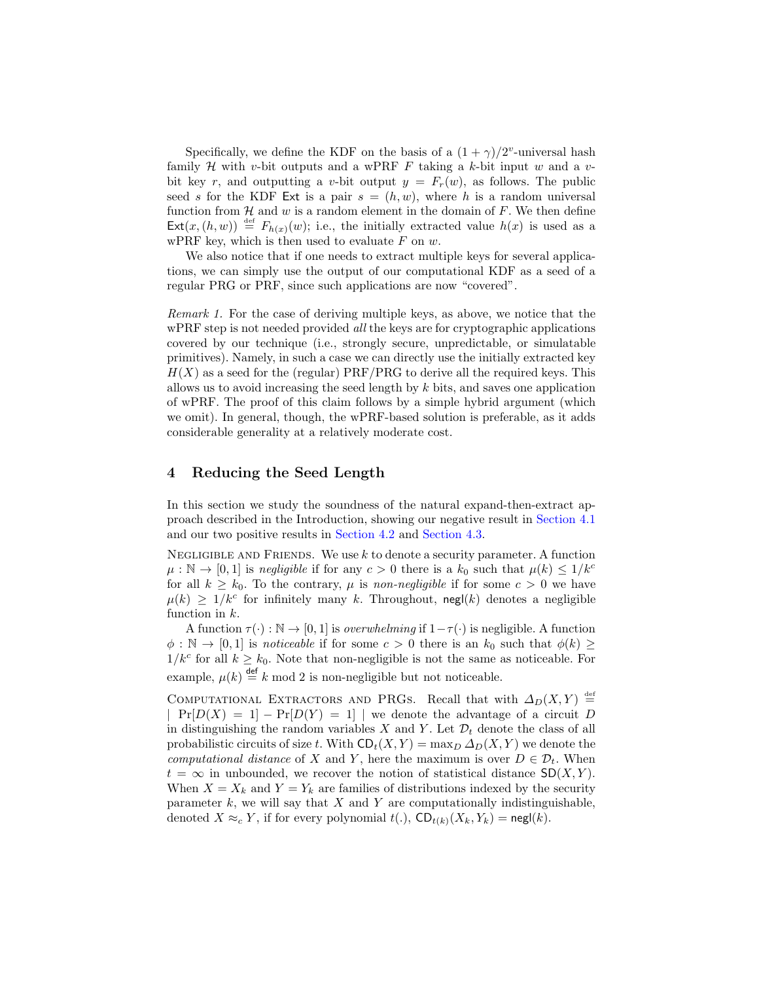Specifically, we define the KDF on the basis of a  $(1 + \gamma)/2^v$ -universal hash family H with v-bit outputs and a wPRF F taking a k-bit input w and a vbit key r, and outputting a v-bit output  $y = F_r(w)$ , as follows. The public seed s for the KDF Ext is a pair  $s = (h, w)$ , where h is a random universal function from  $\mathcal H$  and  $w$  is a random element in the domain of  $F$ . We then define  $Ext(x,(h, w)) \stackrel{\text{def}}{=} F_{h(x)}(w)$ ; i.e., the initially extracted value  $h(x)$  is used as a wPRF key, which is then used to evaluate  $F$  on  $w$ .

We also notice that if one needs to extract multiple keys for several applications, we can simply use the output of our computational KDF as a seed of a regular PRG or PRF, since such applications are now "covered".

Remark 1. For the case of deriving multiple keys, as above, we notice that the wPRF step is not needed provided *all* the keys are for cryptographic applications covered by our technique (i.e., strongly secure, unpredictable, or simulatable primitives). Namely, in such a case we can directly use the initially extracted key  $H(X)$  as a seed for the (regular) PRF/PRG to derive all the required keys. This allows us to avoid increasing the seed length by  $k$  bits, and saves one application of wPRF. The proof of this claim follows by a simple hybrid argument (which we omit). In general, though, the wPRF-based solution is preferable, as it adds considerable generality at a relatively moderate cost.

# 4 Reducing the Seed Length

In this section we study the soundness of the natural expand-then-extract approach described in the Introduction, showing our negative result in [Section 4.1](#page-15-0) and our two positive results in [Section 4.2](#page-16-0) and [Section 4.3.](#page-16-1)

NEGLIGIBLE AND FRIENDS. We use  $k$  to denote a security parameter. A function  $\mu : \mathbb{N} \to [0,1]$  is negligible if for any  $c > 0$  there is a  $k_0$  such that  $\mu(k) \leq 1/k^c$ for all  $k \geq k_0$ . To the contrary,  $\mu$  is non-negligible if for some  $c > 0$  we have  $\mu(k) \geq 1/k^c$  for infinitely many k. Throughout, negl(k) denotes a negligible function in  $k$ .

A function  $\tau(\cdot): \mathbb{N} \to [0, 1]$  is *overwhelming* if  $1 - \tau(\cdot)$  is negligible. A function  $\phi : \mathbb{N} \to [0,1]$  is *noticeable* if for some  $c > 0$  there is an  $k_0$  such that  $\phi(k) \geq$  $1/k^c$  for all  $k \geq k_0$ . Note that non-negligible is not the same as noticeable. For example,  $\mu(k) \stackrel{\text{def}}{=} k \mod 2$  is non-negligible but not noticeable.

COMPUTATIONAL EXTRACTORS AND PRGS. Recall that with  $\Delta_D(X, Y) \stackrel{\text{def}}{=}$  $Pr[D(X) = 1] - Pr[D(Y) = 1]$  we denote the advantage of a circuit D in distinguishing the random variables X and Y. Let  $\mathcal{D}_t$  denote the class of all probabilistic circuits of size t. With  $CD_t(X, Y) = \max_D \Delta_D(X, Y)$  we denote the computational distance of X and Y, here the maximum is over  $D \in \mathcal{D}_t$ . When  $t = \infty$  in unbounded, we recover the notion of statistical distance  $SD(X, Y)$ . When  $X = X_k$  and  $Y = Y_k$  are families of distributions indexed by the security parameter  $k$ , we will say that  $X$  and  $Y$  are computationally indistinguishable, denoted  $X \approx_c Y$ , if for every polynomial  $t(.)$ ,  $CD_{t(k)}(X_k, Y_k) = \text{negl}(k)$ .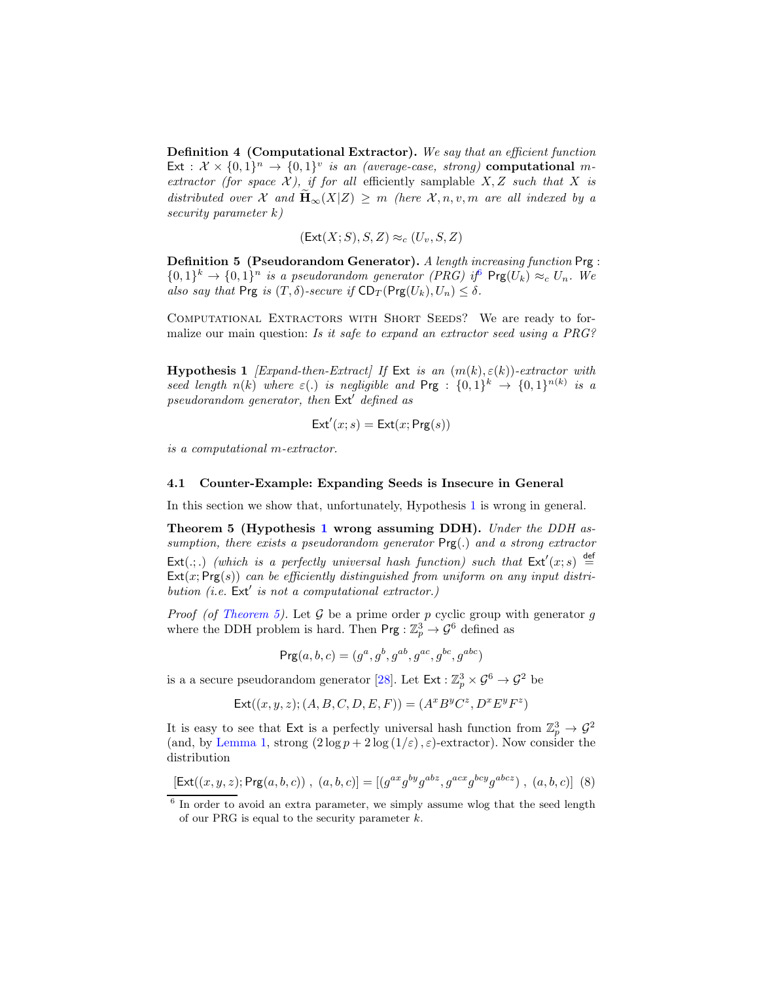Definition 4 (Computational Extractor). We say that an efficient function Ext :  $\mathcal{X} \times \{0,1\}^n \rightarrow \{0,1\}^v$  is an (average-case, strong) computational mextractor (for space  $\mathcal{X}$ ), if for all efficiently samplable  $X, Z$  such that  $X$  is distributed over X and  $\widetilde{\mathbf{H}}_{\infty}(X|Z) \geq m$  (here X, n, v, m are all indexed by a security parameter k)

$$
(\mathsf{Ext}(X;S),S,Z)\approx_c (U_v,S,Z)
$$

Definition 5 (Pseudorandom Generator). A length increasing function Prg :  ${0,1}^k \rightarrow {0,1}^n$  is a pseudorandom generator (PRG) if  $\text{Prg}(U_k) \approx_c U_n$ . We also say that Prg is  $(T, \delta)$ -secure if  $CD_T(Prg(U_k), U_n) \leq \delta$ .

COMPUTATIONAL EXTRACTORS WITH SHORT SEEDS? We are ready to formalize our main question: Is it safe to expand an extractor seed using a PRG?

<span id="page-15-2"></span>Hypothesis 1 [Expand-then-Extract] If Ext is an  $(m(k), \varepsilon(k))$ -extractor with seed length  $n(k)$  where  $\varepsilon(.)$  is negligible and  $\text{Prg}$  :  $\{0,1\}^k \to \{0,1\}^{n(k)}$  is a pseudorandom generator, then Ext′ defined as

$$
\mathsf{Ext}'(x; s) = \mathsf{Ext}(x; \mathsf{Prg}(s))
$$

is a computational m-extractor.

#### <span id="page-15-0"></span>4.1 Counter-Example: Expanding Seeds is Insecure in General

<span id="page-15-3"></span>In this section we show that, unfortunately, Hypothesis [1](#page-15-2) is wrong in general.

Theorem 5 (Hypothesis [1](#page-15-2) wrong assuming DDH). Under the DDH assumption, there exists a pseudorandom generator Prg(.) and a strong extractor  $\textsf{Ext}(.;.)$  (which is a perfectly universal hash function) such that  $\textsf{Ext}'(x; s) \stackrel{\text{def}}{=}$  $\text{Ext}(x; \text{Prg}(s))$  can be efficiently distinguished from uniform on any input distribution (i.e.  $Ext'$  is not a computational extractor.)

*Proof (of [Theorem 5\)](#page-15-3).* Let  $G$  be a prime order p cyclic group with generator g where the DDH problem is hard. Then  $\mathsf{Prg} : \mathbb{Z}_p^3 \to \mathcal{G}^6$  defined as

$$
Prg(a, b, c) = (g^a, g^b, g^{ab}, g^{ac}, g^{bc}, g^{abc})
$$

is a a secure pseudorandom generator [\[28\]](#page-19-20). Let  $\textsf{Ext}: \mathbb{Z}_p^3 \times \mathcal{G}^6 \to \mathcal{G}^2$  be

$$
Ext((x, y, z); (A, B, C, D, E, F)) = (A^x B^y C^z, D^x E^y F^z)
$$

It is easy to see that Ext is a perfectly universal hash function from  $\mathbb{Z}_p^3 \to \mathcal{G}^2$ (and, by [Lemma 1,](#page-7-2) strong  $(2 \log p + 2 \log (1/\varepsilon), \varepsilon)$ -extractor). Now consider the distribution

<span id="page-15-4"></span>
$$
[\mathsf{Ext}((x,y,z);\mathsf{Prg}(a,b,c))\ ,\ (a,b,c)] = [(g^{ax}g^{by}g^{abz},g^{acx}g^{bcy}g^{abcz})\ ,\ (a,b,c)]\ (8)
$$

<span id="page-15-1"></span><sup>&</sup>lt;sup>6</sup> In order to avoid an extra parameter, we simply assume wlog that the seed length of our PRG is equal to the security parameter  $k$ .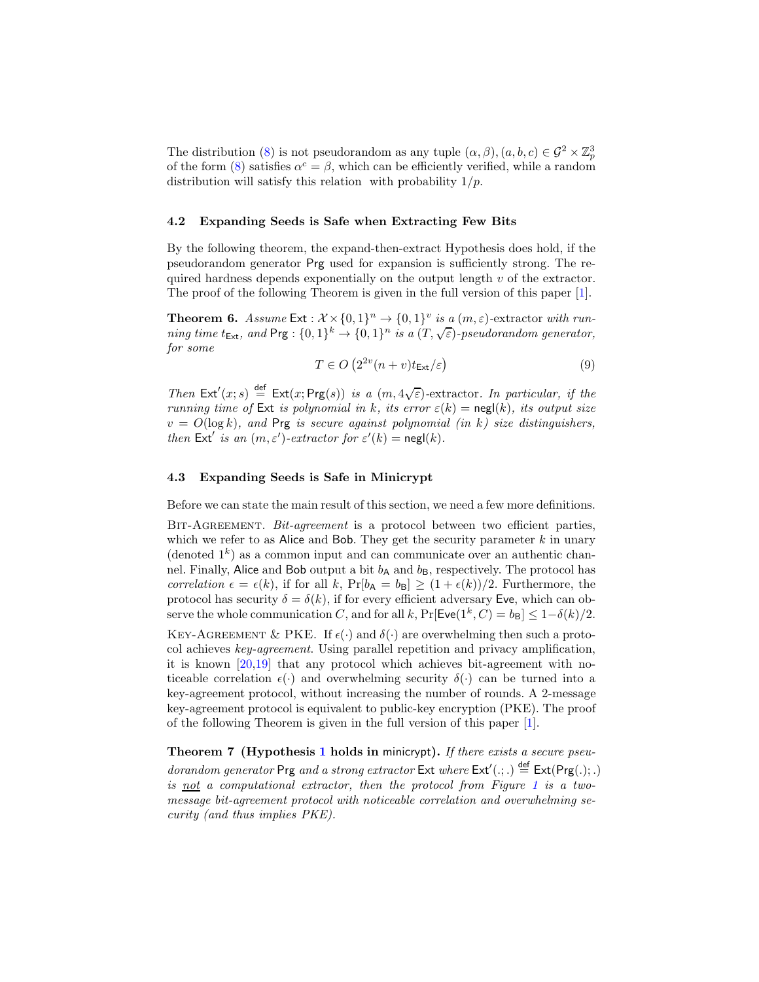The distribution [\(8\)](#page-15-4) is not pseudorandom as any tuple  $(\alpha, \beta), (a, b, c) \in \mathcal{G}^2 \times \mathbb{Z}_p^3$ of the form [\(8\)](#page-15-4) satisfies  $\alpha^c = \beta$ , which can be efficiently verified, while a random distribution will satisfy this relation with probability  $1/p$ .

### <span id="page-16-0"></span>4.2 Expanding Seeds is Safe when Extracting Few Bits

By the following theorem, the expand-then-extract Hypothesis does hold, if the pseudorandom generator Prg used for expansion is sufficiently strong. The required hardness depends exponentially on the output length  $v$  of the extractor. The proof of the following Theorem is given in the full version of this paper [\[1\]](#page-18-9).

**Theorem 6.** Assume  $\text{Ext}: \mathcal{X} \times \{0,1\}^n \to \{0,1\}^v$  is a  $(m,\varepsilon)$ -extractor with running time  $t_{\text{Ext}}$ , and  $\text{Prg}: \{0,1\}^k \to \{0,1\}^n$  is a  $(T,\sqrt{\varepsilon})$ -pseudorandom generator, for some

$$
T \in O\left(2^{2v}(n+v)t_{\text{Ext}}/\varepsilon\right) \tag{9}
$$

Then  $Ext'(x; s) \stackrel{\text{def}}{=} Ext(x; Prg(s))$  is a  $(m, 4\sqrt{\varepsilon})$ -extractor. In particular, if the running time of Ext is polynomial in k, its error  $\varepsilon(k) = \text{negl}(k)$ , its output size  $v = O(\log k)$ , and Prg is secure against polynomial (in k) size distinguishers, then Ext' is an  $(m, \varepsilon')$ -extractor for  $\varepsilon'(k) = \mathsf{negl}(k)$ .

### <span id="page-16-1"></span>4.3 Expanding Seeds is Safe in Minicrypt

Before we can state the main result of this section, we need a few more definitions.

BIT-AGREEMENT. Bit-agreement is a protocol between two efficient parties, which we refer to as Alice and Bob. They get the security parameter  $k$  in unary (denoted  $1^k$ ) as a common input and can communicate over an authentic channel. Finally, Alice and Bob output a bit  $b_A$  and  $b_B$ , respectively. The protocol has correlation  $\epsilon = \epsilon(k)$ , if for all k,  $Pr[b_A = b_B] \geq (1 + \epsilon(k))/2$ . Furthermore, the protocol has security  $\delta = \delta(k)$ , if for every efficient adversary Eve, which can observe the whole communication C, and for all k,  $Pr[$ **Eve** $(1^k, C) = b_B] \le 1 - \delta(k)/2$ .

KEY-AGREEMENT & PKE. If  $\epsilon(\cdot)$  and  $\delta(\cdot)$  are overwhelming then such a protocol achieves key-agreement. Using parallel repetition and privacy amplification, it is known [\[20,](#page-19-21)[19\]](#page-19-22) that any protocol which achieves bit-agreement with noticeable correlation  $\epsilon(\cdot)$  and overwhelming security  $\delta(\cdot)$  can be turned into a key-agreement protocol, without increasing the number of rounds. A 2-message key-agreement protocol is equivalent to public-key encryption (PKE). The proof of the following Theorem is given in the full version of this paper [\[1\]](#page-18-9).

Theorem 7 (Hypothesis [1](#page-15-2) holds in minicrypt). If there exists a secure pseudorandom generator Prg and a strong extractor  $\text{Ext}$  where  $\text{Ext}'(.;.) \stackrel{\text{def}}{=} \text{Ext}(\text{Prg(.)};.)$ is not a computational extractor, then the protocol from Figure [1](#page-17-0) is a twomessage bit-agreement protocol with noticeable correlation and overwhelming security (and thus implies PKE).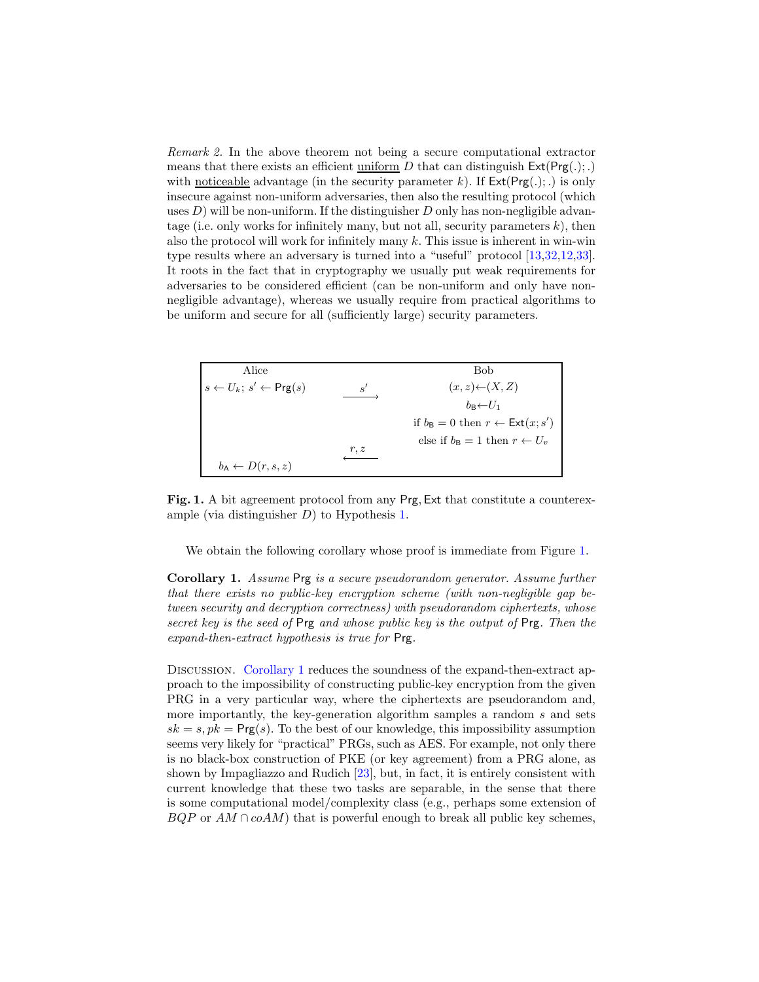Remark 2. In the above theorem not being a secure computational extractor means that there exists an efficient uniform D that can distinguish  $Ext(Prg(.);.)$ with noticeable advantage (in the security parameter k). If  $Ext(Prg(.);.)$  is only insecure against non-uniform adversaries, then also the resulting protocol (which uses  $D$ ) will be non-uniform. If the distinguisher  $D$  only has non-negligible advantage (i.e. only works for infinitely many, but not all, security parameters  $k$ ), then also the protocol will work for infinitely many  $k$ . This issue is inherent in win-win type results where an adversary is turned into a "useful" protocol [\[13,](#page-18-10)[32](#page-19-16)[,12](#page-18-11)[,33\]](#page-19-17). It roots in the fact that in cryptography we usually put weak requirements for adversaries to be considered efficient (can be non-uniform and only have nonnegligible advantage), whereas we usually require from practical algorithms to be uniform and secure for all (sufficiently large) security parameters.

| Alice                                              |      | Bob                                                             |
|----------------------------------------------------|------|-----------------------------------------------------------------|
| $s \leftarrow U_k$ ; $s' \leftarrow \text{Prg}(s)$ | s'   | $(x, z) \leftarrow (X, Z)$                                      |
|                                                    |      | $b_{\rm B}$ $\leftarrow$ $U_1$                                  |
|                                                    |      | if $b_{\mathsf{B}} = 0$ then $r \leftarrow \mathsf{Ext}(x; s')$ |
|                                                    |      | else if $b_{\text{B}} = 1$ then $r \leftarrow U_v$              |
|                                                    | r, z |                                                                 |
| $b_{\mathsf{A}} \leftarrow D(r, s, z)$             |      |                                                                 |

<span id="page-17-0"></span>Fig. 1. A bit agreement protocol from any Prg, Ext that constitute a counterexample (via distinguisher D) to Hypothesis [1.](#page-15-2)

<span id="page-17-1"></span>We obtain the following corollary whose proof is immediate from Figure [1.](#page-17-0)

Corollary 1. Assume Prg is a secure pseudorandom generator. Assume further that there exists no public-key encryption scheme (with non-negligible gap between security and decryption correctness) with pseudorandom ciphertexts, whose secret key is the seed of Prg and whose public key is the output of Prg. Then the expand-then-extract hypothesis is true for Prg.

DISCUSSION. [Corollary 1](#page-17-1) reduces the soundness of the expand-then-extract approach to the impossibility of constructing public-key encryption from the given PRG in a very particular way, where the ciphertexts are pseudorandom and, more importantly, the key-generation algorithm samples a random s and sets  $sk = s, pk = Prg(s)$ . To the best of our knowledge, this impossibility assumption seems very likely for "practical" PRGs, such as AES. For example, not only there is no black-box construction of PKE (or key agreement) from a PRG alone, as shown by Impagliazzo and Rudich [\[23\]](#page-19-23), but, in fact, it is entirely consistent with current knowledge that these two tasks are separable, in the sense that there is some computational model/complexity class (e.g., perhaps some extension of  $BQP$  or  $AM \cap coAM$ ) that is powerful enough to break all public key schemes,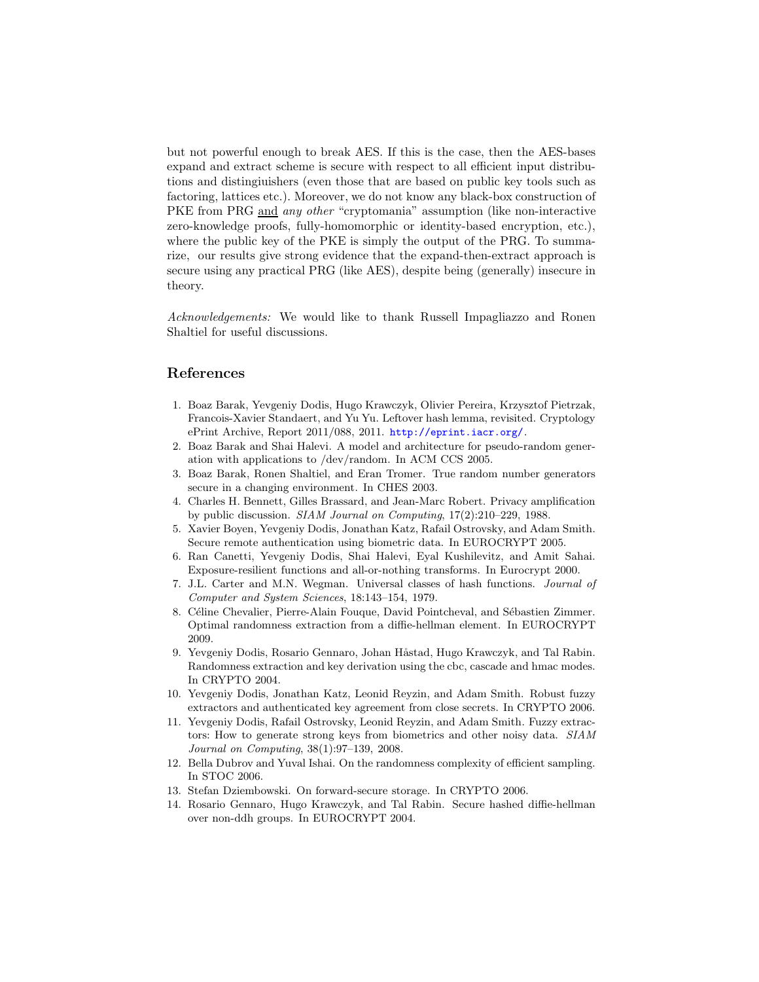but not powerful enough to break AES. If this is the case, then the AES-bases expand and extract scheme is secure with respect to all efficient input distributions and distingiuishers (even those that are based on public key tools such as factoring, lattices etc.). Moreover, we do not know any black-box construction of PKE from PRG and *any other* "cryptomania" assumption (like non-interactive zero-knowledge proofs, fully-homomorphic or identity-based encryption, etc.), where the public key of the PKE is simply the output of the PRG. To summarize, our results give strong evidence that the expand-then-extract approach is secure using any practical PRG (like AES), despite being (generally) insecure in theory.

Acknowledgements: We would like to thank Russell Impagliazzo and Ronen Shaltiel for useful discussions.

# References

- <span id="page-18-9"></span>1. Boaz Barak, Yevgeniy Dodis, Hugo Krawczyk, Olivier Pereira, Krzysztof Pietrzak, Francois-Xavier Standaert, and Yu Yu. Leftover hash lemma, revisited. Cryptology ePrint Archive, Report 2011/088, 2011. <http://eprint.iacr.org/>.
- <span id="page-18-6"></span>2. Boaz Barak and Shai Halevi. A model and architecture for pseudo-random generation with applications to /dev/random. In ACM CCS 2005.
- <span id="page-18-5"></span>3. Boaz Barak, Ronen Shaltiel, and Eran Tromer. True random number generators secure in a changing environment. In CHES 2003.
- <span id="page-18-1"></span>4. Charles H. Bennett, Gilles Brassard, and Jean-Marc Robert. Privacy amplification by public discussion. SIAM Journal on Computing, 17(2):210–229, 1988.
- <span id="page-18-4"></span>5. Xavier Boyen, Yevgeniy Dodis, Jonathan Katz, Rafail Ostrovsky, and Adam Smith. Secure remote authentication using biometric data. In EUROCRYPT 2005.
- <span id="page-18-8"></span>6. Ran Canetti, Yevgeniy Dodis, Shai Halevi, Eyal Kushilevitz, and Amit Sahai. Exposure-resilient functions and all-or-nothing transforms. In Eurocrypt 2000.
- <span id="page-18-0"></span>7. J.L. Carter and M.N. Wegman. Universal classes of hash functions. Journal of Computer and System Sciences, 18:143–154, 1979.
- 8. Céline Chevalier, Pierre-Alain Fouque, David Pointcheval, and Sébastien Zimmer. Optimal randomness extraction from a diffie-hellman element. In EUROCRYPT 2009.
- <span id="page-18-12"></span>9. Yevgeniy Dodis, Rosario Gennaro, Johan Håstad, Hugo Krawczyk, and Tal Rabin. Randomness extraction and key derivation using the cbc, cascade and hmac modes. In CRYPTO 2004.
- <span id="page-18-7"></span>10. Yevgeniy Dodis, Jonathan Katz, Leonid Reyzin, and Adam Smith. Robust fuzzy extractors and authenticated key agreement from close secrets. In CRYPTO 2006.
- <span id="page-18-3"></span>11. Yevgeniy Dodis, Rafail Ostrovsky, Leonid Reyzin, and Adam Smith. Fuzzy extractors: How to generate strong keys from biometrics and other noisy data. SIAM Journal on Computing, 38(1):97–139, 2008.
- <span id="page-18-11"></span><span id="page-18-10"></span>12. Bella Dubrov and Yuval Ishai. On the randomness complexity of efficient sampling. In STOC 2006.
- <span id="page-18-2"></span>13. Stefan Dziembowski. On forward-secure storage. In CRYPTO 2006.
- 14. Rosario Gennaro, Hugo Krawczyk, and Tal Rabin. Secure hashed diffie-hellman over non-ddh groups. In EUROCRYPT 2004.